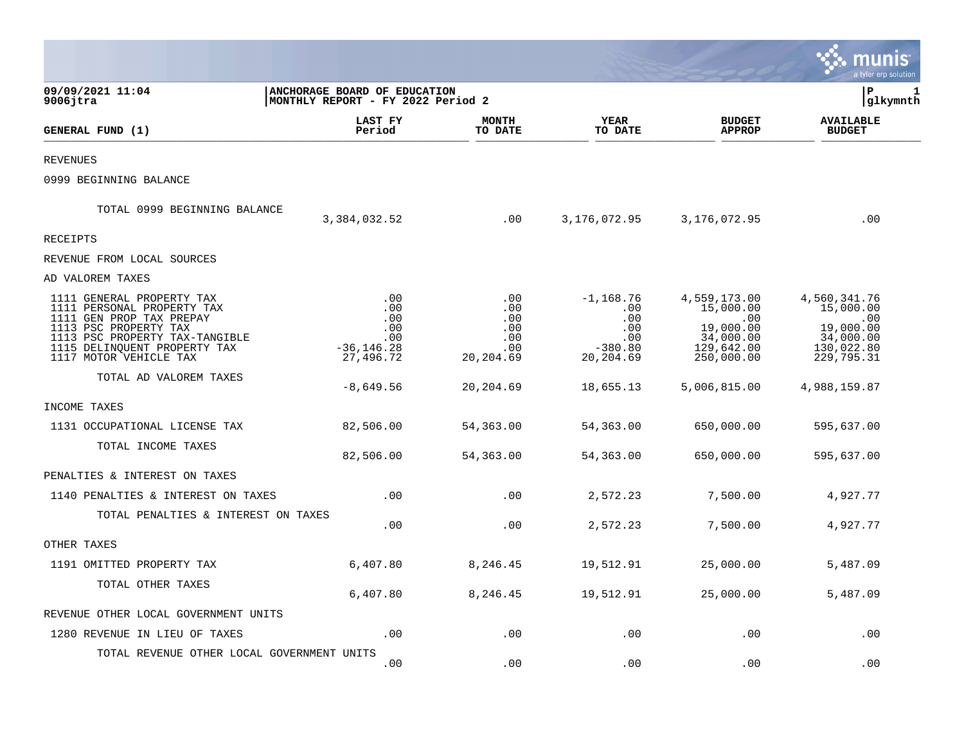|                                                                                                                                                                                                          |                                                                   |                                                     |                                                                   |                                                                                        | a tyler erp solution                                                                   |
|----------------------------------------------------------------------------------------------------------------------------------------------------------------------------------------------------------|-------------------------------------------------------------------|-----------------------------------------------------|-------------------------------------------------------------------|----------------------------------------------------------------------------------------|----------------------------------------------------------------------------------------|
| 09/09/2021 11:04<br>$9006$ jtra                                                                                                                                                                          | ANCHORAGE BOARD OF EDUCATION<br>MONTHLY REPORT - FY 2022 Period 2 |                                                     |                                                                   |                                                                                        | l P<br>1<br>glkymnth                                                                   |
| GENERAL FUND (1)                                                                                                                                                                                         | LAST FY<br>Period                                                 | <b>MONTH</b><br>TO DATE                             | YEAR<br>TO DATE                                                   | <b>BUDGET</b><br><b>APPROP</b>                                                         | <b>AVAILABLE</b><br><b>BUDGET</b>                                                      |
| <b>REVENUES</b>                                                                                                                                                                                          |                                                                   |                                                     |                                                                   |                                                                                        |                                                                                        |
| 0999 BEGINNING BALANCE                                                                                                                                                                                   |                                                                   |                                                     |                                                                   |                                                                                        |                                                                                        |
| TOTAL 0999 BEGINNING BALANCE                                                                                                                                                                             | 3,384,032.52                                                      | .00                                                 | 3,176,072.95                                                      | 3,176,072.95                                                                           | .00                                                                                    |
| <b>RECEIPTS</b>                                                                                                                                                                                          |                                                                   |                                                     |                                                                   |                                                                                        |                                                                                        |
| REVENUE FROM LOCAL SOURCES                                                                                                                                                                               |                                                                   |                                                     |                                                                   |                                                                                        |                                                                                        |
| AD VALOREM TAXES                                                                                                                                                                                         |                                                                   |                                                     |                                                                   |                                                                                        |                                                                                        |
| 1111 GENERAL PROPERTY TAX<br>1111 PERSONAL PROPERTY TAX<br>1111 GEN PROP TAX PREPAY<br>1113 PSC PROPERTY TAX<br>1113 PSC PROPERTY TAX-TANGIBLE<br>1115 DELINQUENT PROPERTY TAX<br>1117 MOTOR VEHICLE TAX | .00<br>.00<br>.00<br>.00<br>.00<br>$-36, 146.28$<br>27,496.72     | .00<br>.00<br>.00<br>.00<br>.00<br>.00<br>20,204.69 | $-1,168.76$<br>.00<br>.00<br>.00<br>.00<br>$-380.80$<br>20,204.69 | 4,559,173.00<br>15,000.00<br>.00<br>19,000.00<br>34,000.00<br>129,642.00<br>250,000.00 | 4,560,341.76<br>15,000.00<br>.00<br>19,000.00<br>34,000.00<br>130,022.80<br>229,795.31 |
| TOTAL AD VALOREM TAXES                                                                                                                                                                                   |                                                                   |                                                     |                                                                   |                                                                                        |                                                                                        |
|                                                                                                                                                                                                          | $-8,649.56$                                                       | 20,204.69                                           | 18,655.13                                                         | 5,006,815.00                                                                           | 4,988,159.87                                                                           |
| INCOME TAXES                                                                                                                                                                                             |                                                                   |                                                     |                                                                   |                                                                                        |                                                                                        |
| 1131 OCCUPATIONAL LICENSE TAX                                                                                                                                                                            | 82,506.00                                                         | 54,363.00                                           | 54,363.00                                                         | 650,000.00                                                                             | 595,637.00                                                                             |
| TOTAL INCOME TAXES                                                                                                                                                                                       | 82,506.00                                                         | 54,363.00                                           | 54,363.00                                                         | 650,000.00                                                                             | 595,637.00                                                                             |
| PENALTIES & INTEREST ON TAXES                                                                                                                                                                            |                                                                   |                                                     |                                                                   |                                                                                        |                                                                                        |
| 1140 PENALTIES & INTEREST ON TAXES                                                                                                                                                                       | .00                                                               | .00                                                 | 2,572.23                                                          | 7,500.00                                                                               | 4,927.77                                                                               |
| TOTAL PENALTIES & INTEREST ON TAXES                                                                                                                                                                      | .00                                                               | .00                                                 | 2,572.23                                                          | 7,500.00                                                                               | 4,927.77                                                                               |
| OTHER TAXES                                                                                                                                                                                              |                                                                   |                                                     |                                                                   |                                                                                        |                                                                                        |
| 1191 OMITTED PROPERTY TAX                                                                                                                                                                                | 6,407.80                                                          | 8,246.45                                            | 19,512.91                                                         | 25,000.00                                                                              | 5,487.09                                                                               |
| TOTAL OTHER TAXES                                                                                                                                                                                        | 6,407.80                                                          | 8,246.45                                            | 19,512.91                                                         | 25,000.00                                                                              | 5,487.09                                                                               |
| REVENUE OTHER LOCAL GOVERNMENT UNITS                                                                                                                                                                     |                                                                   |                                                     |                                                                   |                                                                                        |                                                                                        |
| 1280 REVENUE IN LIEU OF TAXES                                                                                                                                                                            | .00                                                               | .00                                                 | .00                                                               | .00                                                                                    | .00                                                                                    |
| TOTAL REVENUE OTHER LOCAL GOVERNMENT UNITS                                                                                                                                                               | .00                                                               | .00                                                 | .00                                                               | .00                                                                                    | .00                                                                                    |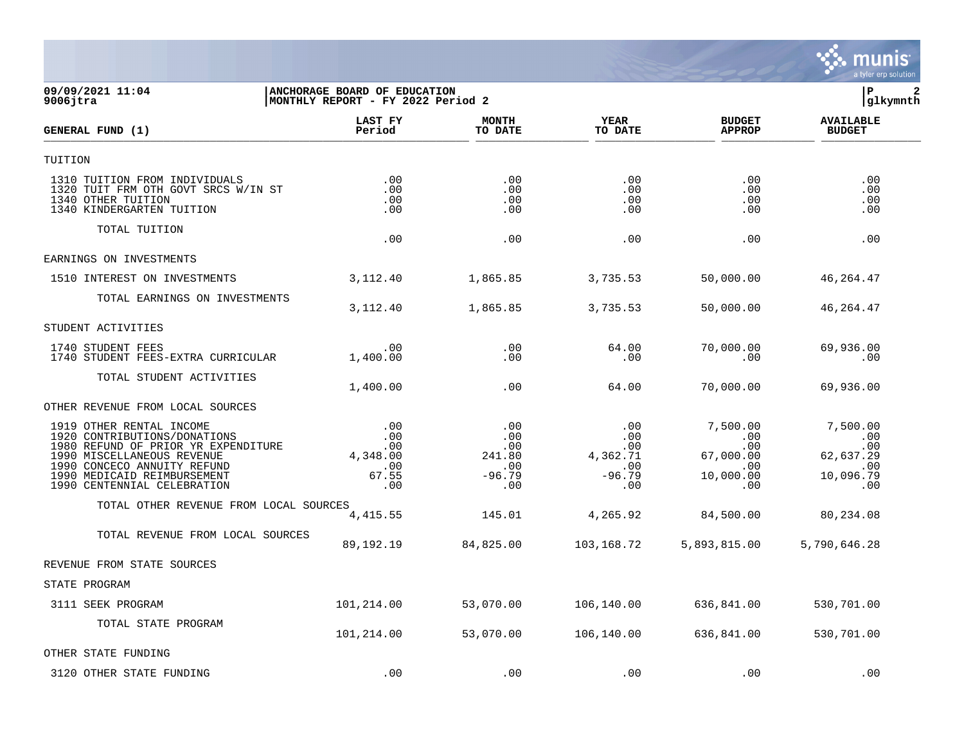

## **09/09/2021 11:04 |ANCHORAGE BOARD OF EDUCATION |P 2 9006jtra |MONTHLY REPORT - FY 2022 Period 2 |glkymnth**

| GENERAL FUND (1)                                                                                                                                                                                                           | LAST FY<br>Period                                    | <b>MONTH</b><br>TO DATE                               | <b>YEAR</b><br>TO DATE                                  | <b>BUDGET</b><br><b>APPROP</b>                                                   | <b>AVAILABLE</b><br><b>BUDGET</b>                              |  |
|----------------------------------------------------------------------------------------------------------------------------------------------------------------------------------------------------------------------------|------------------------------------------------------|-------------------------------------------------------|---------------------------------------------------------|----------------------------------------------------------------------------------|----------------------------------------------------------------|--|
| TUITION                                                                                                                                                                                                                    |                                                      |                                                       |                                                         |                                                                                  |                                                                |  |
| 1310 TUITION FROM INDIVIDUALS<br>1320 TUIT FRM OTH GOVT SRCS W/IN ST<br>1340 OTHER TUITION<br>1340 KINDERGARTEN TUITION                                                                                                    | .00<br>.00<br>.00<br>.00                             | .00<br>.00<br>.00<br>.00                              | .00<br>.00<br>.00<br>.00                                | .00<br>$.00 \ \rm$<br>.00<br>.00                                                 | .00<br>.00<br>.00<br>.00                                       |  |
| TOTAL TUITION                                                                                                                                                                                                              | .00                                                  | .00                                                   | .00                                                     | .00                                                                              | .00                                                            |  |
| EARNINGS ON INVESTMENTS                                                                                                                                                                                                    |                                                      |                                                       |                                                         |                                                                                  |                                                                |  |
| 1510 INTEREST ON INVESTMENTS                                                                                                                                                                                               | 3, 112.40                                            | 1,865.85                                              | 3,735.53                                                | 50,000.00                                                                        | 46,264.47                                                      |  |
| TOTAL EARNINGS ON INVESTMENTS                                                                                                                                                                                              | 3,112.40                                             | 1,865.85                                              | 3,735.53                                                | 50,000.00                                                                        | 46, 264. 47                                                    |  |
| STUDENT ACTIVITIES                                                                                                                                                                                                         |                                                      |                                                       |                                                         |                                                                                  |                                                                |  |
| 1740 STUDENT FEES<br>1740 STUDENT FEES-EXTRA CURRICULAR                                                                                                                                                                    | .00<br>1,400.00                                      | .00<br>.00                                            | 64.00<br>.00                                            | 70,000.00<br>.00                                                                 | 69,936.00<br>.00                                               |  |
| TOTAL STUDENT ACTIVITIES                                                                                                                                                                                                   | 1,400.00                                             | .00                                                   | 64.00                                                   | 70,000.00                                                                        | 69,936.00                                                      |  |
| OTHER REVENUE FROM LOCAL SOURCES                                                                                                                                                                                           |                                                      |                                                       |                                                         |                                                                                  |                                                                |  |
| 1919 OTHER RENTAL INCOME<br>1920 CONTRIBUTIONS/DONATIONS<br>1980 REFUND OF PRIOR YR EXPENDITURE<br>1990 MISCELLANEOUS REVENUE<br>1990 CONCECO ANNUITY REFUND<br>1990 MEDICAID REIMBURSEMENT<br>1990 CENTENNIAL CELEBRATION | .00<br>.00<br>.00<br>4,348.00<br>.00<br>67.55<br>.00 | .00<br>.00<br>.00<br>241.80<br>.00<br>$-96.79$<br>.00 | .00<br>.00<br>.00<br>4,362.71<br>.00<br>$-96.79$<br>.00 | 7,500.00<br>.00<br>$.00 \,$<br>67,000.00<br>$.00 \ \rm$<br>10,000.00<br>$.00 \,$ | 7,500.00<br>.00<br>.00<br>62,637.29<br>.00<br>10,096.79<br>.00 |  |
| TOTAL OTHER REVENUE FROM LOCAL SOURCES                                                                                                                                                                                     | 4, 415.55                                            | 145.01                                                | 4,265.92                                                | 84,500.00                                                                        | 80,234.08                                                      |  |
| TOTAL REVENUE FROM LOCAL SOURCES                                                                                                                                                                                           | 89,192.19                                            | 84,825.00                                             | 103,168.72                                              | 5,893,815.00                                                                     | 5,790,646.28                                                   |  |
| REVENUE FROM STATE SOURCES                                                                                                                                                                                                 |                                                      |                                                       |                                                         |                                                                                  |                                                                |  |
| STATE PROGRAM                                                                                                                                                                                                              |                                                      |                                                       |                                                         |                                                                                  |                                                                |  |
| 3111 SEEK PROGRAM                                                                                                                                                                                                          | 101,214.00                                           | 53,070.00                                             | 106,140.00                                              | 636,841.00                                                                       | 530,701.00                                                     |  |
| TOTAL STATE PROGRAM                                                                                                                                                                                                        | 101,214.00                                           | 53,070.00                                             | 106,140.00                                              | 636,841.00                                                                       | 530,701.00                                                     |  |
| OTHER STATE FUNDING                                                                                                                                                                                                        |                                                      |                                                       |                                                         |                                                                                  |                                                                |  |
| 3120 OTHER STATE FUNDING                                                                                                                                                                                                   | .00                                                  | .00                                                   | .00                                                     | .00                                                                              | .00                                                            |  |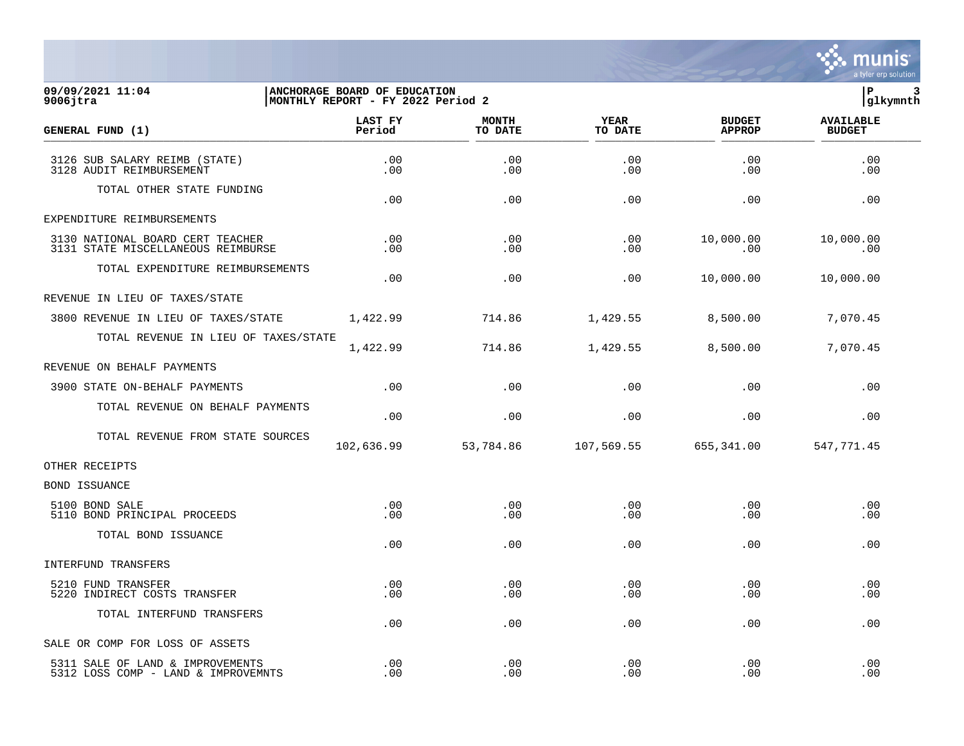

## **09/09/2021 11:04 |ANCHORAGE BOARD OF EDUCATION |P 3 9006jtra |MONTHLY REPORT - FY 2022 Period 2 |glkymnth**

| GENERAL FUND (1)                                                        | LAST FY<br>Period | <b>MONTH</b><br>TO DATE | <b>YEAR</b><br>TO DATE | <b>BUDGET</b><br><b>APPROP</b> | <b>AVAILABLE</b><br><b>BUDGET</b> |
|-------------------------------------------------------------------------|-------------------|-------------------------|------------------------|--------------------------------|-----------------------------------|
| 3126 SUB SALARY REIMB (STATE)<br>3128 AUDIT REIMBURSEMENT               | .00<br>.00        | .00<br>.00              | .00<br>.00             | .00<br>.00                     | .00<br>.00                        |
| TOTAL OTHER STATE FUNDING                                               | .00               | .00                     | .00                    | .00                            | .00                               |
| EXPENDITURE REIMBURSEMENTS                                              |                   |                         |                        |                                |                                   |
| 3130 NATIONAL BOARD CERT TEACHER<br>3131 STATE MISCELLANEOUS REIMBURSE  | .00<br>$.00 \,$   | .00<br>.00              | .00<br>.00             | 10,000.00<br>.00               | 10,000.00<br>.00                  |
| TOTAL EXPENDITURE REIMBURSEMENTS                                        | .00               | .00                     | .00                    | 10,000.00                      | 10,000.00                         |
| REVENUE IN LIEU OF TAXES/STATE                                          |                   |                         |                        |                                |                                   |
| 3800 REVENUE IN LIEU OF TAXES/STATE                                     | 1,422.99          | 714.86                  | 1,429.55               | 8,500.00                       | 7,070.45                          |
| TOTAL REVENUE IN LIEU OF TAXES/STATE                                    | 1,422.99          | 714.86                  | 1,429.55               | 8,500.00                       | 7,070.45                          |
| REVENUE ON BEHALF PAYMENTS                                              |                   |                         |                        |                                |                                   |
| 3900 STATE ON-BEHALF PAYMENTS                                           | .00               | .00                     | .00                    | .00                            | .00                               |
| TOTAL REVENUE ON BEHALF PAYMENTS                                        | .00               | .00                     | .00                    | .00                            | .00                               |
| TOTAL REVENUE FROM STATE SOURCES                                        | 102,636.99        | 53,784.86               | 107,569.55             | 655,341.00                     | 547,771.45                        |
| OTHER RECEIPTS                                                          |                   |                         |                        |                                |                                   |
| BOND ISSUANCE                                                           |                   |                         |                        |                                |                                   |
| 5100 BOND SALE<br>5110 BOND PRINCIPAL PROCEEDS                          | .00<br>.00        | .00<br>.00              | .00<br>.00.            | .00<br>.00                     | .00<br>.00                        |
| TOTAL BOND ISSUANCE                                                     | .00               | .00                     | .00                    | .00                            | .00                               |
| INTERFUND TRANSFERS                                                     |                   |                         |                        |                                |                                   |
| 5210 FUND TRANSFER<br>5220 INDIRECT COSTS TRANSFER                      | .00<br>.00        | .00<br>.00              | .00<br>.00             | .00<br>.00                     | .00<br>.00                        |
| TOTAL INTERFUND TRANSFERS                                               | .00               | .00                     | .00                    | .00                            | .00                               |
| SALE OR COMP FOR LOSS OF ASSETS                                         |                   |                         |                        |                                |                                   |
| 5311 SALE OF LAND & IMPROVEMENTS<br>5312 LOSS COMP - LAND & IMPROVEMNTS | .00<br>.00        | .00<br>.00              | .00<br>.00             | .00<br>.00                     | .00<br>.00                        |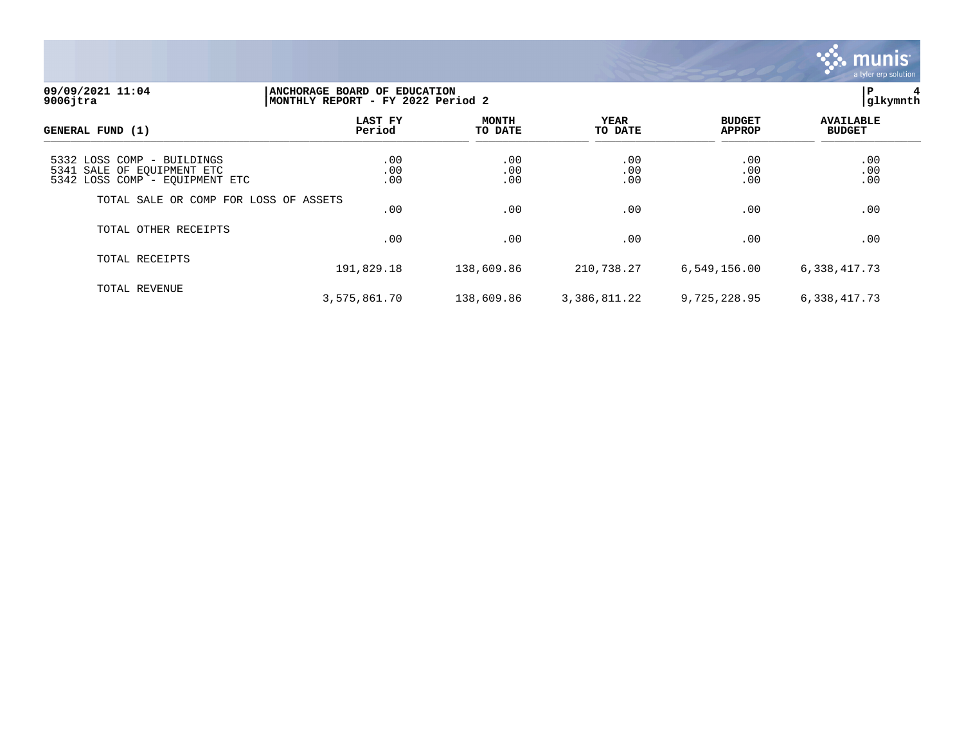

## **09/09/2021 11:04 |ANCHORAGE BOARD OF EDUCATION |P 4 9006jtra |MONTHLY REPORT - FY 2022 Period 2 |glkymnth**

| GENERAL FUND (1)                                                                           | LAST FY<br>Period | <b>MONTH</b><br>TO DATE | YEAR<br>TO DATE   | <b>BUDGET</b><br><b>APPROP</b> | <b>AVAILABLE</b><br><b>BUDGET</b> |
|--------------------------------------------------------------------------------------------|-------------------|-------------------------|-------------------|--------------------------------|-----------------------------------|
| 5332 LOSS COMP - BUILDINGS<br>5341 SALE OF EOUIPMENT ETC<br>5342 LOSS COMP - EQUIPMENT ETC | .00<br>.00<br>.00 | .00<br>.00<br>.00       | .00<br>.00<br>.00 | .00.00<br>.00                  | .00.00<br>.00                     |
| TOTAL SALE OR COMP FOR LOSS OF ASSETS                                                      | .00               | .00                     | .00               | .00                            | .00                               |
| TOTAL OTHER RECEIPTS                                                                       | .00               | .00                     | .00               | .00                            | .00                               |
| TOTAL RECEIPTS                                                                             | 191,829.18        | 138,609.86              | 210,738.27        | 6,549,156.00                   | 6,338,417.73                      |
| TOTAL REVENUE                                                                              | 3,575,861.70      | 138,609.86              | 3,386,811.22      | 9,725,228.95                   | 6,338,417.73                      |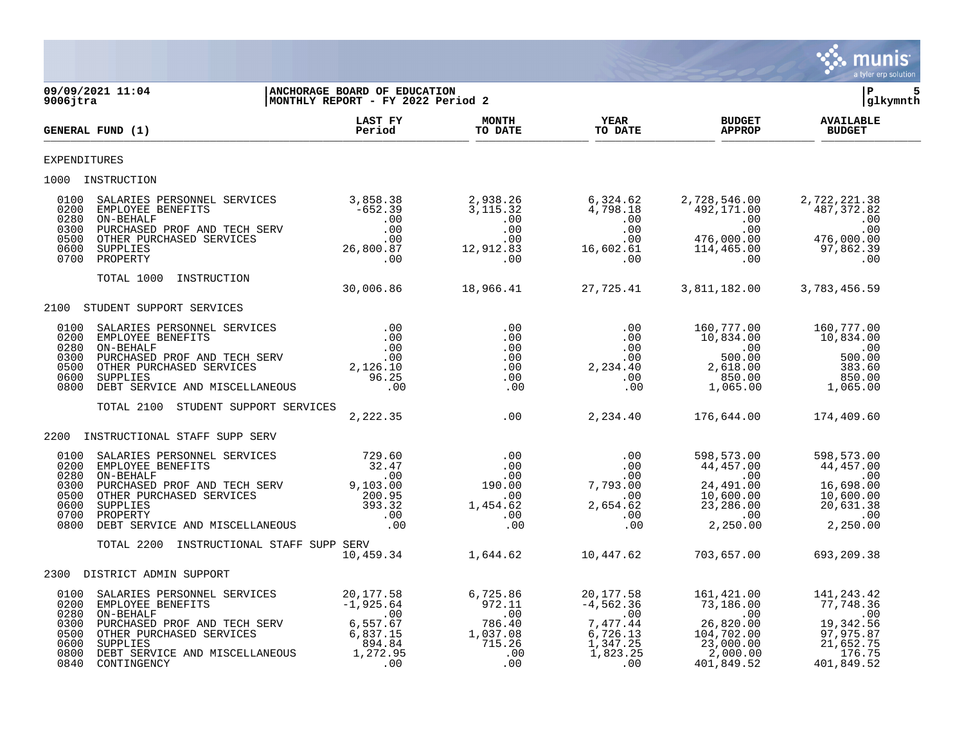

| 9006jtra                                                     | 1 11:04   ANCHORAGE BOARD OF EDUCATION<br>  MONTHLY REPORT - FY 2022 Period 2<br>09/09/2021 11:04                                                                                                                                                                                                                                                                                                           |                   |                         |                        |                                                                   | lР<br> glkymnth                   |  |
|--------------------------------------------------------------|-------------------------------------------------------------------------------------------------------------------------------------------------------------------------------------------------------------------------------------------------------------------------------------------------------------------------------------------------------------------------------------------------------------|-------------------|-------------------------|------------------------|-------------------------------------------------------------------|-----------------------------------|--|
|                                                              | GENERAL FUND (1)                                                                                                                                                                                                                                                                                                                                                                                            | LAST FY<br>Period | <b>MONTH</b><br>TO DATE | <b>YEAR</b><br>TO DATE | <b>BUDGET<br/>APPROP</b>                                          | <b>AVAILABLE</b><br><b>BUDGET</b> |  |
| <b>EXPENDITURES</b>                                          |                                                                                                                                                                                                                                                                                                                                                                                                             |                   |                         |                        |                                                                   |                                   |  |
|                                                              | 1000 INSTRUCTION                                                                                                                                                                                                                                                                                                                                                                                            |                   |                         |                        |                                                                   |                                   |  |
|                                                              |                                                                                                                                                                                                                                                                                                                                                                                                             |                   |                         |                        |                                                                   |                                   |  |
|                                                              | TOTAL 1000 INSTRUCTION                                                                                                                                                                                                                                                                                                                                                                                      |                   |                         |                        | $30,006.86$ $18,966.41$ $27,725.41$ $3,811,182.00$ $3,783,456.59$ |                                   |  |
|                                                              | 2100 STUDENT SUPPORT SERVICES                                                                                                                                                                                                                                                                                                                                                                               |                   |                         |                        |                                                                   |                                   |  |
| 0100<br>0200<br>0280<br>0300<br>0500<br>0600<br>0800         | $\begin{tabular}{cccc} SALARTES PERSONNEL SERVICES & .00 & .00 & .00 & 160,777.00 & 160,777.00 \\ \small\texttt{EMPLOYEE BENEFTTS} & .00 & .00 & 00 & 10,834.00 & 10,834.00 \\ \small \texttt{OM-BEHALF} & .00 & .00 & .00 & .00 & .00 & .00 \\ \small \texttt{DURCHASED PROF AND TECH SERV \\ \small \texttt{OTPLIES} & .00 & .00 & .00 & .00 & .00 & .00 \\ \small \texttt{OTHER PURCHASED SERVICES} & .$ |                   |                         |                        |                                                                   |                                   |  |
|                                                              | TOTAL 2100 STUDENT SUPPORT SERVICES                                                                                                                                                                                                                                                                                                                                                                         |                   |                         |                        | $2,222.35$ .00 $2,234.40$ 176,644.00 174,409.60                   |                                   |  |
|                                                              | 2200 INSTRUCTIONAL STAFF SUPP SERV                                                                                                                                                                                                                                                                                                                                                                          |                   |                         |                        |                                                                   |                                   |  |
| 0100<br>0200<br>0280<br>0300<br>0500<br>0600<br>0700<br>0800 | $\begin{tabular}{l c c c c c c c c} \multicolumn{3}{c c c c} \multicolumn{3}{c c c} \multicolumn{3}{c c c} \multicolumn{3}{c c c} \multicolumn{3}{c c c} \multicolumn{3}{c c c} \multicolumn{3}{c c c} \multicolumn{3}{c c c} \multicolumn{3}{c c c} \multicolumn{3}{c c c} \multicolumn{3}{c c c} \multicolumn{3}{c c c} \multicolumn{3}{c c c} \multicolumn{3}{c c c} \multicolumn{3}{c c c}$             |                   |                         |                        |                                                                   |                                   |  |
|                                                              | TOTAL 2200 INSTRUCTIONAL STAFF SUPP SERV                                                                                                                                                                                                                                                                                                                                                                    |                   |                         |                        | SERV<br>10,459.34 1,644.62 10,447.62 703,657.00 693,209.38        |                                   |  |
|                                                              | 2300 DISTRICT ADMIN SUPPORT                                                                                                                                                                                                                                                                                                                                                                                 |                   |                         |                        |                                                                   |                                   |  |
| 0100<br>0200<br>0280<br>0300<br>0500<br>0600<br>0800<br>0840 | ON-BEHALF                                                                                                                                                                                                                                                                                                                                                                                                   |                   |                         |                        |                                                                   |                                   |  |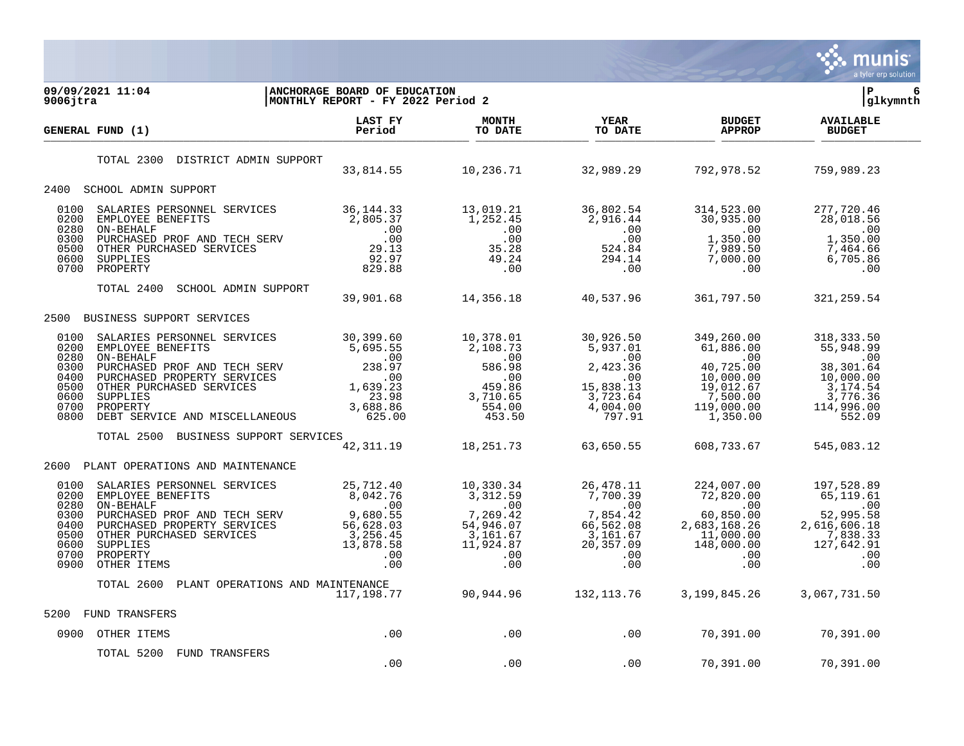

| 09/09/2021 11:04<br>$9006$ jtra                                                                                                                                                                                                                                                                                                                                                                                                                                                                       | ANCHORAGE BOARD OF EDUCATION<br>MONTHLY REPORT - FY 2022 Period 2 |                                                                   |                        |                                                        | l P<br>6<br> glkymnth             |
|-------------------------------------------------------------------------------------------------------------------------------------------------------------------------------------------------------------------------------------------------------------------------------------------------------------------------------------------------------------------------------------------------------------------------------------------------------------------------------------------------------|-------------------------------------------------------------------|-------------------------------------------------------------------|------------------------|--------------------------------------------------------|-----------------------------------|
| GENERAL FUND (1)                                                                                                                                                                                                                                                                                                                                                                                                                                                                                      | LAST FY<br>Period                                                 | <b>MONTH</b><br>TO DATE                                           | <b>YEAR</b><br>TO DATE | <b>BUDGET</b><br><b>APPROP</b>                         | <b>AVAILABLE</b><br><b>BUDGET</b> |
| TOTAL 2300<br>DISTRICT ADMIN SUPPORT                                                                                                                                                                                                                                                                                                                                                                                                                                                                  |                                                                   |                                                                   |                        | $33,814.55$ $10,236.71$ $32,989.29$ $792,978.52$       | 759,989.23                        |
| 2400 SCHOOL ADMIN SUPPORT                                                                                                                                                                                                                                                                                                                                                                                                                                                                             |                                                                   |                                                                   |                        |                                                        |                                   |
| 36, 144.33<br>EMPLOYEE BENEFITS ENERETITS 36, 144.33<br>ON-BEHALF 2, 916.44<br>ON-BEHALF 2, 916.44<br>ON-BEHALF 2, 916.44<br>ON-BEHALF 2, 916.44<br>ON-BEHALF 2, 916.44<br>ON CHER PURCHASED SERVICES 29.13<br>ON THER PURCHASED SERVICES 29.1<br>0100<br>0200<br>0280<br>0300<br>0500<br>0600<br>0700                                                                                                                                                                                                |                                                                   |                                                                   |                        |                                                        |                                   |
| TOTAL 2400<br>SCHOOL ADMIN SUPPORT                                                                                                                                                                                                                                                                                                                                                                                                                                                                    |                                                                   |                                                                   |                        | 39,901.68 14,356.18 40,537.96 361,797.50               | 321, 259.54                       |
| 2500<br>BUSINESS SUPPORT SERVICES                                                                                                                                                                                                                                                                                                                                                                                                                                                                     |                                                                   |                                                                   |                        |                                                        |                                   |
| $\begin{tabular}{l c c c c c c c c} \texttt{SALARIES } \texttt{PERSONNEL } \texttt{SREVICES} & \texttt{30, 399.60} & \texttt{10, 378.01} & \texttt{30, 926.50} & \texttt{349, 260.00} & \texttt{318, 333.50} \\ \texttt{EMPLOYEE } \texttt{BENEFTTS} & \texttt{S, 985.55} & \texttt{2, 108.73} & \texttt{5, 937.01} & \texttt{30, 926.50} & \texttt{34$<br>0100<br>0200<br>0280<br>0300<br>0400<br>0500<br>0600<br>0700<br>0800                                                                       |                                                                   |                                                                   |                        |                                                        |                                   |
| TOTAL 2500<br>BUSINESS SUPPORT SERVICES                                                                                                                                                                                                                                                                                                                                                                                                                                                               |                                                                   | $\begin{bmatrix} 42,311.19 & 18,251.73 & 63,650.55 \end{bmatrix}$ |                        | 608,733.67                                             | 545,083.12                        |
| 2600 PLANT OPERATIONS AND MAINTENANCE                                                                                                                                                                                                                                                                                                                                                                                                                                                                 |                                                                   |                                                                   |                        |                                                        |                                   |
| SALARIES PERSONNEL SERVICES 25,712.40<br>EMPLOYEE BENEFITS 8,042.76<br>$\begin{tabular}{l c c c c c c c} \texttt{SALARIES PERSONNEL} & \texttt{SERVICES} & \texttt{25,712.40} & \texttt{10,330.34} & \texttt{26,478.11} & \texttt{224,007.00} & \texttt{197,528.89} \\ \texttt{EMPLOVER} & 8,042.76 & 3,312.59 & 7,700.39 & 72,820.00 & 65,119.61 \\ \texttt{ON-BEHAALE} & \texttt{PROP RCF AND TECH SERVICES} & 0.00 & 0.00$<br>0100<br>0200<br>0280<br>0300<br>0400<br>0500<br>0600<br>0700<br>0900 |                                                                   |                                                                   |                        |                                                        |                                   |
| TOTAL 2600 PLANT OPERATIONS AND MAINTENANCE                                                                                                                                                                                                                                                                                                                                                                                                                                                           | 117, 198.77                                                       |                                                                   |                        | $90,944.96$ $132,113.76$ $3,199,845.26$ $3,067,731.50$ |                                   |
| 5200<br>FUND TRANSFERS                                                                                                                                                                                                                                                                                                                                                                                                                                                                                |                                                                   |                                                                   |                        |                                                        |                                   |
| 0900 OTHER ITEMS                                                                                                                                                                                                                                                                                                                                                                                                                                                                                      | .00                                                               |                                                                   |                        | $100$ .00 .00 $10,391.00$ 70,391.00                    |                                   |
| TOTAL 5200 FUND TRANSFERS                                                                                                                                                                                                                                                                                                                                                                                                                                                                             | .00                                                               | .00                                                               |                        | .00 70,391.00                                          | 70,391.00                         |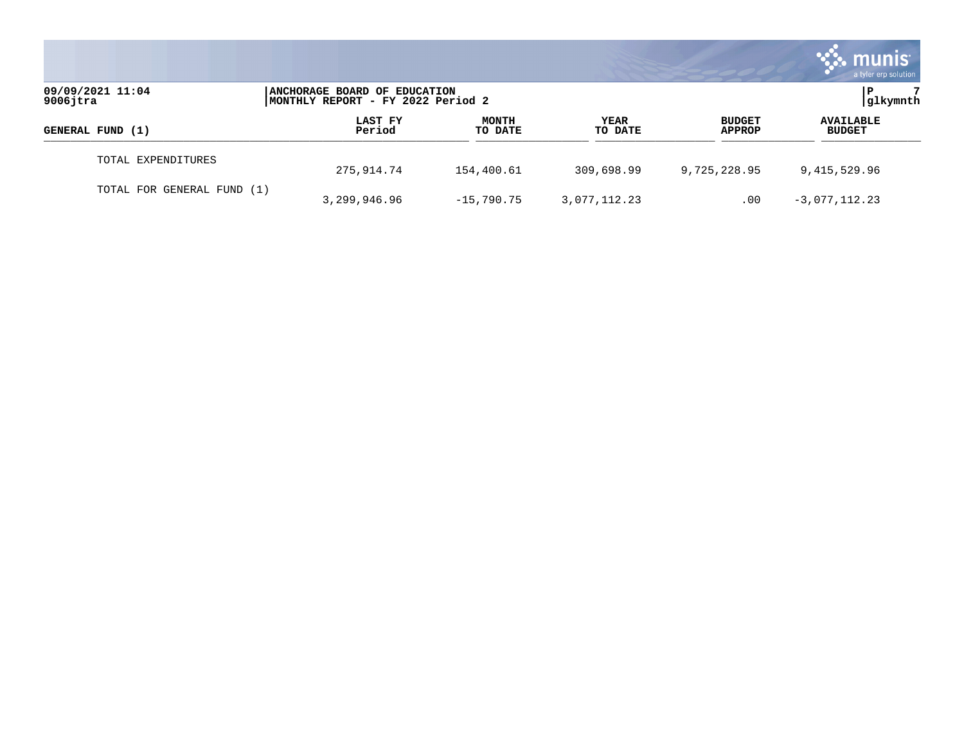|                                 |                                                                   |                         |                        |                                | <b>munis</b><br>a tyler erp solution |
|---------------------------------|-------------------------------------------------------------------|-------------------------|------------------------|--------------------------------|--------------------------------------|
| 09/09/2021 11:04<br>$9006$ jtra | ANCHORAGE BOARD OF EDUCATION<br>MONTHLY REPORT - FY 2022 Period 2 |                         |                        |                                | glkymnth                             |
| GENERAL FUND (1)                | LAST FY<br>Period                                                 | <b>MONTH</b><br>TO DATE | <b>YEAR</b><br>TO DATE | <b>BUDGET</b><br><b>APPROP</b> | <b>AVAILABLE</b><br><b>BUDGET</b>    |
| TOTAL EXPENDITURES              | 275,914.74                                                        | 154,400.61              | 309,698.99             | 9,725,228.95                   | 9,415,529.96                         |
| TOTAL FOR GENERAL FUND (1)      | 3,299,946.96                                                      | $-15,790.75$            | 3,077,112.23           | .00                            | $-3,077,112.23$                      |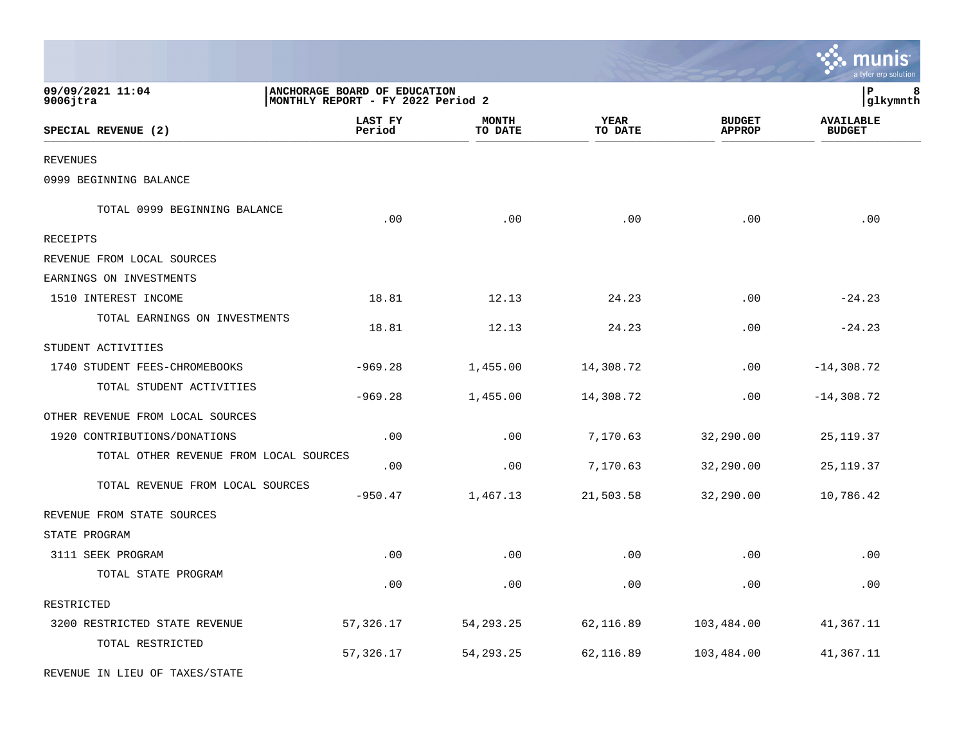|                                        |                                                                   |                         |                 |                                | a tyler erp solution              |
|----------------------------------------|-------------------------------------------------------------------|-------------------------|-----------------|--------------------------------|-----------------------------------|
| 09/09/2021 11:04<br>9006jtra           | ANCHORAGE BOARD OF EDUCATION<br>MONTHLY REPORT - FY 2022 Period 2 |                         |                 |                                | ${\bf P}$<br>8<br>glkymnth        |
| SPECIAL REVENUE (2)                    | LAST FY<br>Period                                                 | <b>MONTH</b><br>TO DATE | YEAR<br>TO DATE | <b>BUDGET</b><br><b>APPROP</b> | <b>AVAILABLE</b><br><b>BUDGET</b> |
| <b>REVENUES</b>                        |                                                                   |                         |                 |                                |                                   |
| 0999 BEGINNING BALANCE                 |                                                                   |                         |                 |                                |                                   |
| TOTAL 0999 BEGINNING BALANCE           | .00                                                               | .00                     | .00             | .00                            | .00                               |
| RECEIPTS                               |                                                                   |                         |                 |                                |                                   |
| REVENUE FROM LOCAL SOURCES             |                                                                   |                         |                 |                                |                                   |
| EARNINGS ON INVESTMENTS                |                                                                   |                         |                 |                                |                                   |
| 1510 INTEREST INCOME                   | 18.81                                                             | 12.13                   | 24.23           | .00                            | $-24.23$                          |
| TOTAL EARNINGS ON INVESTMENTS          | 18.81                                                             | 12.13                   | 24.23           | .00                            | $-24.23$                          |
| STUDENT ACTIVITIES                     |                                                                   |                         |                 |                                |                                   |
| 1740 STUDENT FEES-CHROMEBOOKS          | $-969.28$                                                         | 1,455.00                | 14,308.72       | .00                            | $-14,308.72$                      |
| TOTAL STUDENT ACTIVITIES               | $-969.28$                                                         | 1,455.00                | 14,308.72       | .00                            | $-14,308.72$                      |
| OTHER REVENUE FROM LOCAL SOURCES       |                                                                   |                         |                 |                                |                                   |
| 1920 CONTRIBUTIONS/DONATIONS           | .00                                                               | .00                     | 7,170.63        | 32,290.00                      | 25, 119.37                        |
| TOTAL OTHER REVENUE FROM LOCAL SOURCES | .00                                                               | .00                     | 7,170.63        | 32,290.00                      | 25, 119.37                        |
| TOTAL REVENUE FROM LOCAL SOURCES       | $-950.47$                                                         | 1,467.13                | 21,503.58       | 32,290.00                      | 10,786.42                         |
| REVENUE FROM STATE SOURCES             |                                                                   |                         |                 |                                |                                   |
| STATE PROGRAM                          |                                                                   |                         |                 |                                |                                   |
| 3111 SEEK PROGRAM                      | .00                                                               | .00                     | .00             | .00                            | .00                               |
| TOTAL STATE PROGRAM                    | .00                                                               | .00                     | .00             | .00                            | .00                               |
| RESTRICTED                             |                                                                   |                         |                 |                                |                                   |
| 3200 RESTRICTED STATE REVENUE          | 57, 326.17                                                        | 54, 293. 25             | 62,116.89       | 103,484.00                     | 41,367.11                         |
| TOTAL RESTRICTED                       | 57, 326.17                                                        | 54, 293. 25             | 62,116.89       | 103,484.00                     | 41,367.11                         |
| REVENUE IN LIEU OF TAXES/STATE         |                                                                   |                         |                 |                                |                                   |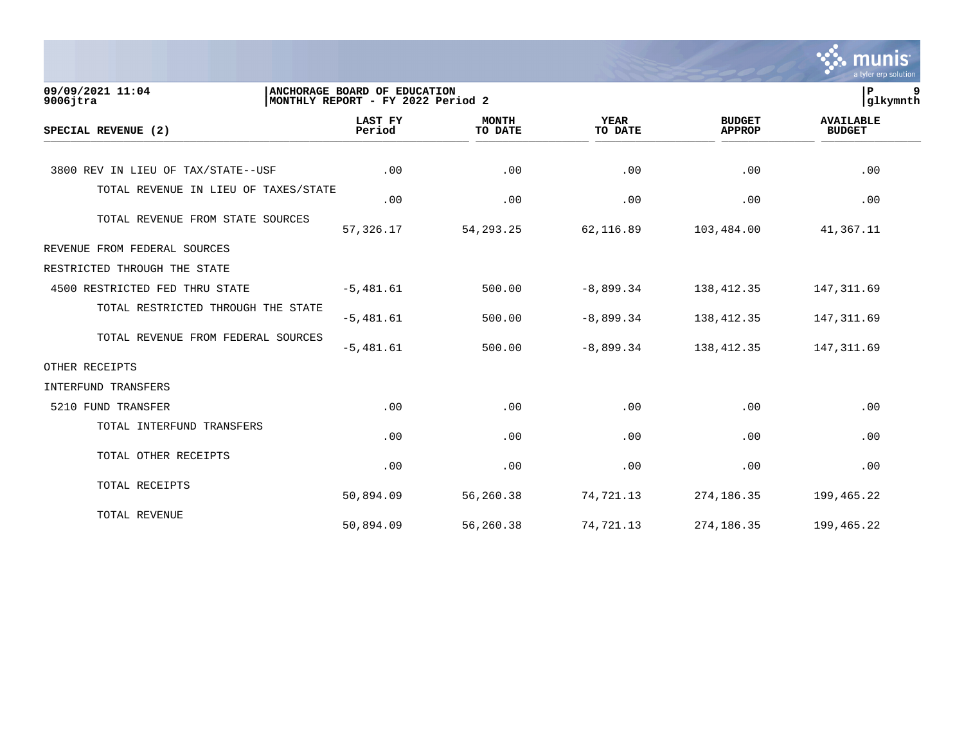|                                      |                                                                   |                         |                        |                                | munis<br>a tyler erp solution     |
|--------------------------------------|-------------------------------------------------------------------|-------------------------|------------------------|--------------------------------|-----------------------------------|
| 09/09/2021 11:04<br>$9006$ jtra      | ANCHORAGE BOARD OF EDUCATION<br>MONTHLY REPORT - FY 2022 Period 2 |                         |                        |                                | ΙP<br>9<br>glkymnth               |
| SPECIAL REVENUE (2)                  | <b>LAST FY</b><br>Period                                          | <b>MONTH</b><br>TO DATE | <b>YEAR</b><br>TO DATE | <b>BUDGET</b><br><b>APPROP</b> | <b>AVAILABLE</b><br><b>BUDGET</b> |
| 3800 REV IN LIEU OF TAX/STATE--USF   | .00                                                               | .00                     | .00                    | .00                            | .00                               |
| TOTAL REVENUE IN LIEU OF TAXES/STATE | .00                                                               | .00                     | .00                    | .00                            | .00                               |
| TOTAL REVENUE FROM STATE SOURCES     | 57,326.17                                                         | 54, 293. 25             | 62,116.89              | 103,484.00                     | 41,367.11                         |
| REVENUE FROM FEDERAL SOURCES         |                                                                   |                         |                        |                                |                                   |
| RESTRICTED THROUGH THE STATE         |                                                                   |                         |                        |                                |                                   |
| 4500 RESTRICTED FED THRU STATE       | $-5,481.61$                                                       | 500.00                  | $-8,899.34$            | 138, 412.35                    | 147, 311.69                       |
| TOTAL RESTRICTED THROUGH THE STATE   | $-5,481.61$                                                       | 500.00                  | $-8,899.34$            | 138, 412.35                    | 147, 311.69                       |
| TOTAL REVENUE FROM FEDERAL SOURCES   | $-5,481.61$                                                       | 500.00                  | $-8,899.34$            | 138, 412.35                    | 147, 311.69                       |
| OTHER RECEIPTS                       |                                                                   |                         |                        |                                |                                   |
| INTERFUND TRANSFERS                  |                                                                   |                         |                        |                                |                                   |
| 5210 FUND TRANSFER                   | .00                                                               | .00                     | .00                    | .00                            | .00                               |
| TOTAL INTERFUND TRANSFERS            | .00                                                               | .00                     | .00                    | .00                            | .00                               |
| TOTAL OTHER RECEIPTS                 | .00                                                               | .00                     | .00                    | .00                            | .00                               |
| TOTAL RECEIPTS                       | 50,894.09                                                         | 56,260.38               | 74,721.13              | 274, 186. 35                   | 199,465.22                        |
| TOTAL REVENUE                        | 50,894.09                                                         | 56,260.38               | 74,721.13              | 274,186.35                     | 199,465.22                        |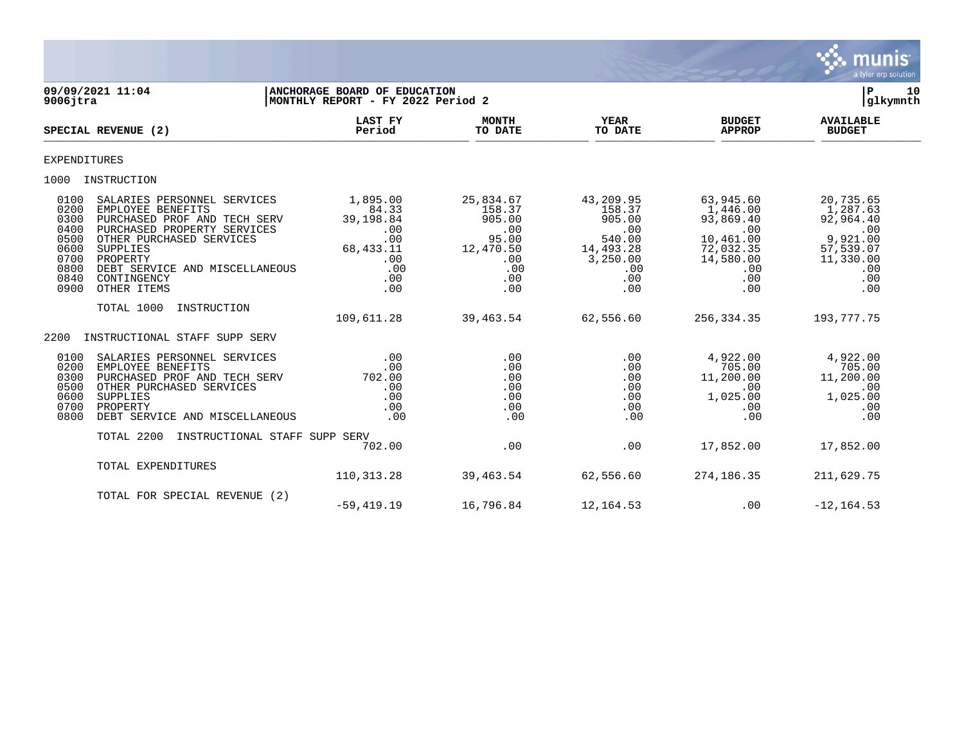

| $9006$ jtra                                                                  | 09/09/2021 11:04                                                                                                                                                                                                                    | ANCHORAGE BOARD OF EDUCATION<br>MONTHLY REPORT - FY 2022 Period 2                     |                                                                                        |                                                                                              |                                                                                                       | ${\bf P}$<br>10<br>glkymnth                                                                          |
|------------------------------------------------------------------------------|-------------------------------------------------------------------------------------------------------------------------------------------------------------------------------------------------------------------------------------|---------------------------------------------------------------------------------------|----------------------------------------------------------------------------------------|----------------------------------------------------------------------------------------------|-------------------------------------------------------------------------------------------------------|------------------------------------------------------------------------------------------------------|
|                                                                              | SPECIAL REVENUE (2)                                                                                                                                                                                                                 | <b>LAST FY</b><br>Period                                                              | <b>MONTH</b><br>TO DATE                                                                | <b>YEAR</b><br>TO DATE                                                                       | <b>BUDGET</b><br><b>APPROP</b>                                                                        | <b>AVAILABLE</b><br><b>BUDGET</b>                                                                    |
| <b>EXPENDITURES</b>                                                          |                                                                                                                                                                                                                                     |                                                                                       |                                                                                        |                                                                                              |                                                                                                       |                                                                                                      |
| 1000                                                                         | INSTRUCTION                                                                                                                                                                                                                         |                                                                                       |                                                                                        |                                                                                              |                                                                                                       |                                                                                                      |
| 0100<br>0200<br>0300<br>0400<br>0500<br>0600<br>0700<br>0800<br>0840<br>0900 | SALARIES PERSONNEL SERVICES<br>EMPLOYEE BENEFITS<br>PURCHASED PROF AND TECH SERV<br>PURCHASED PROPERTY SERVICES<br>OTHER PURCHASED SERVICES<br>SUPPLIES<br>PROPERTY<br>DEBT SERVICE AND MISCELLANEOUS<br>CONTINGENCY<br>OTHER ITEMS | 1,895.00<br>84.33<br>39,198.84<br>.00<br>.00<br>68,433.11<br>.00<br>.00<br>.00<br>.00 | 25,834.67<br>158.37<br>905.00<br>.00<br>95.00<br>12,470.50<br>.00<br>.00<br>.00<br>.00 | 43,209.95<br>158.37<br>905.00<br>.00<br>540.00<br>14,493.28<br>3,250.00<br>.00<br>.00<br>.00 | 63,945.60<br>1,446.00<br>93,869.40<br>.00<br>10,461.00<br>72,032.35<br>14,580.00<br>.00<br>.00<br>.00 | 20,735.65<br>1,287.63<br>92,964.40<br>.00<br>9,921.00<br>57,539.07<br>11,330.00<br>.00<br>.00<br>.00 |
|                                                                              | TOTAL 1000<br>INSTRUCTION                                                                                                                                                                                                           | 109,611.28                                                                            | 39,463.54                                                                              | 62,556.60                                                                                    | 256,334.35                                                                                            | 193,777.75                                                                                           |
| 2200                                                                         | INSTRUCTIONAL STAFF SUPP SERV                                                                                                                                                                                                       |                                                                                       |                                                                                        |                                                                                              |                                                                                                       |                                                                                                      |
| 0100<br>0200<br>0300<br>0500<br>0600<br>0700<br>0800                         | SALARIES PERSONNEL SERVICES<br>EMPLOYEE BENEFITS<br>PURCHASED PROF AND TECH SERV<br>OTHER PURCHASED SERVICES<br>SUPPLIES<br>PROPERTY<br>DEBT SERVICE AND MISCELLANEOUS                                                              | .00<br>.00<br>702.00<br>.00<br>.00<br>.00<br>.00                                      | .00<br>.00<br>.00<br>.00<br>.00<br>.00<br>.00                                          | .00<br>.00<br>.00<br>.00<br>.00<br>.00<br>.00                                                | 4,922.00<br>705.00<br>11,200.00<br>$.00 \ \rm$<br>1,025.00<br>.00<br>.00                              | 4,922.00<br>705.00<br>11,200.00<br>.00<br>1,025.00<br>.00<br>.00                                     |
|                                                                              | TOTAL 2200<br>INSTRUCTIONAL STAFF SUPP SERV                                                                                                                                                                                         | 702.00                                                                                | .00                                                                                    | .00                                                                                          | 17,852.00                                                                                             | 17,852.00                                                                                            |
|                                                                              | TOTAL EXPENDITURES                                                                                                                                                                                                                  | 110,313.28                                                                            | 39,463.54                                                                              | 62,556.60                                                                                    | 274, 186. 35                                                                                          | 211,629.75                                                                                           |
|                                                                              | TOTAL FOR SPECIAL REVENUE (2)                                                                                                                                                                                                       | $-59, 419.19$                                                                         | 16,796.84                                                                              | 12,164.53                                                                                    | .00                                                                                                   | $-12, 164.53$                                                                                        |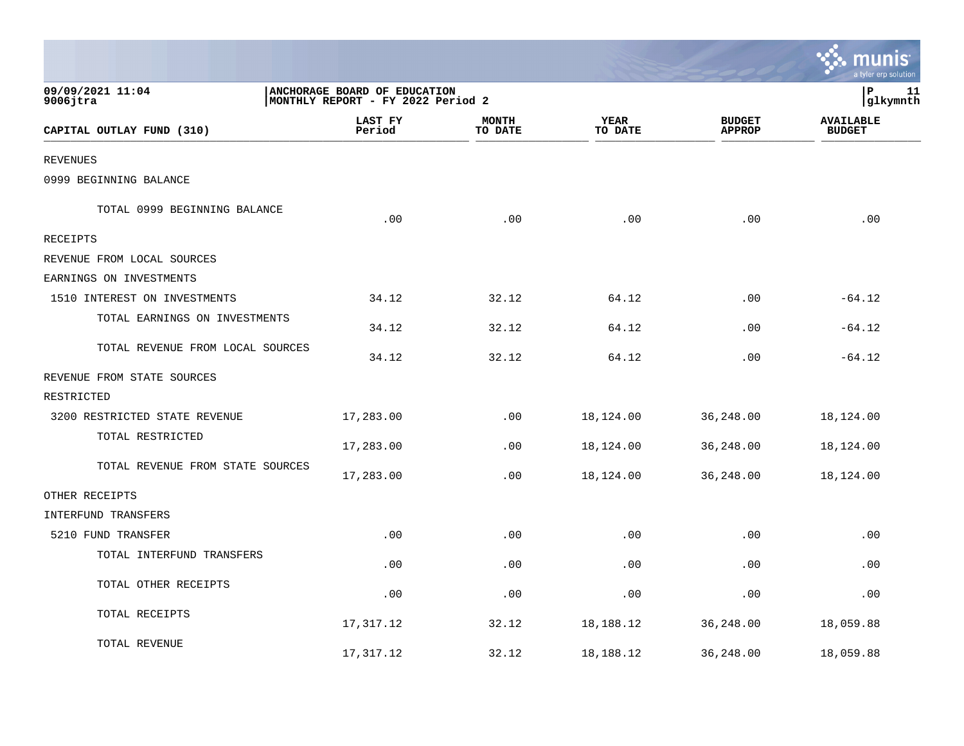|                                  |                                                                   |                         |                 |                                | a tyler erp solution              |
|----------------------------------|-------------------------------------------------------------------|-------------------------|-----------------|--------------------------------|-----------------------------------|
| 09/09/2021 11:04<br>$9006$ jtra  | ANCHORAGE BOARD OF EDUCATION<br>MONTHLY REPORT - FY 2022 Period 2 |                         |                 |                                | l P<br>11<br>glkymnth             |
| CAPITAL OUTLAY FUND (310)        | LAST FY<br>Period                                                 | <b>MONTH</b><br>TO DATE | YEAR<br>TO DATE | <b>BUDGET</b><br><b>APPROP</b> | <b>AVAILABLE</b><br><b>BUDGET</b> |
| <b>REVENUES</b>                  |                                                                   |                         |                 |                                |                                   |
| 0999 BEGINNING BALANCE           |                                                                   |                         |                 |                                |                                   |
| TOTAL 0999 BEGINNING BALANCE     | .00                                                               | .00                     | .00             | .00                            | .00                               |
| <b>RECEIPTS</b>                  |                                                                   |                         |                 |                                |                                   |
| REVENUE FROM LOCAL SOURCES       |                                                                   |                         |                 |                                |                                   |
| EARNINGS ON INVESTMENTS          |                                                                   |                         |                 |                                |                                   |
| 1510 INTEREST ON INVESTMENTS     | 34.12                                                             | 32.12                   | 64.12           | .00                            | $-64.12$                          |
| TOTAL EARNINGS ON INVESTMENTS    | 34.12                                                             | 32.12                   | 64.12           | .00                            | $-64.12$                          |
| TOTAL REVENUE FROM LOCAL SOURCES | 34.12                                                             | 32.12                   | 64.12           | .00                            | $-64.12$                          |
| REVENUE FROM STATE SOURCES       |                                                                   |                         |                 |                                |                                   |
| RESTRICTED                       |                                                                   |                         |                 |                                |                                   |
| 3200 RESTRICTED STATE REVENUE    | 17,283.00                                                         | .00                     | 18,124.00       | 36,248.00                      | 18,124.00                         |
| TOTAL RESTRICTED                 | 17,283.00                                                         | .00                     | 18,124.00       | 36,248.00                      | 18,124.00                         |
| TOTAL REVENUE FROM STATE SOURCES | 17,283.00                                                         | .00                     | 18,124.00       | 36,248.00                      | 18,124.00                         |
| OTHER RECEIPTS                   |                                                                   |                         |                 |                                |                                   |
| INTERFUND TRANSFERS              |                                                                   |                         |                 |                                |                                   |
| 5210 FUND TRANSFER               | .00                                                               | .00                     | .00             | .00                            | .00                               |
| TOTAL INTERFUND TRANSFERS        | .00                                                               | .00                     | .00             | .00                            | .00                               |
| TOTAL OTHER RECEIPTS             | .00                                                               | .00                     | .00             | .00                            | .00                               |
| TOTAL RECEIPTS                   | 17,317.12                                                         | 32.12                   | 18,188.12       | 36,248.00                      | 18,059.88                         |
| TOTAL REVENUE                    | 17,317.12                                                         | 32.12                   | 18,188.12       | 36,248.00                      | 18,059.88                         |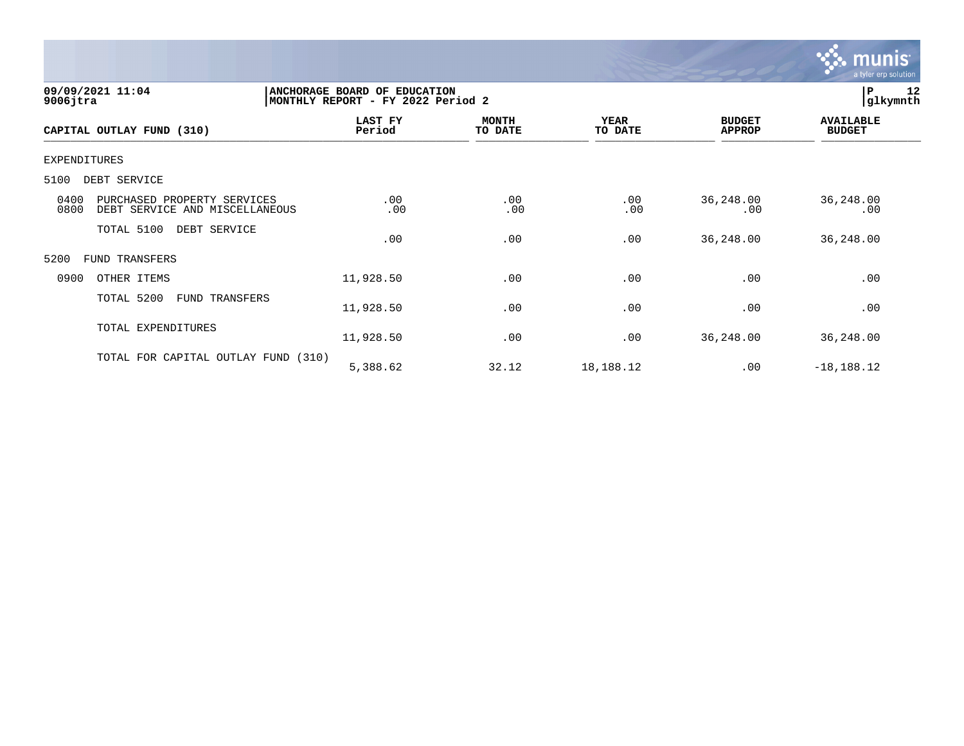

| 09/09/2021 11:04<br>$9006$ jtra                                               | ANCHORAGE BOARD OF EDUCATION<br>MONTHLY REPORT - FY 2022 Period 2 |                         |                        |                                | 12<br>P<br> glkymnth              |
|-------------------------------------------------------------------------------|-------------------------------------------------------------------|-------------------------|------------------------|--------------------------------|-----------------------------------|
| CAPITAL OUTLAY FUND (310)                                                     | LAST FY<br>Period                                                 | <b>MONTH</b><br>TO DATE | <b>YEAR</b><br>TO DATE | <b>BUDGET</b><br><b>APPROP</b> | <b>AVAILABLE</b><br><b>BUDGET</b> |
| <b>EXPENDITURES</b>                                                           |                                                                   |                         |                        |                                |                                   |
| 5100<br>DEBT SERVICE                                                          |                                                                   |                         |                        |                                |                                   |
| 0400<br>PURCHASED PROPERTY SERVICES<br>0800<br>DEBT SERVICE AND MISCELLANEOUS | .00<br>.00                                                        | .00<br>.00              | .00<br>.00             | 36,248.00<br>.00               | 36,248.00<br>.00                  |
| TOTAL 5100<br>DEBT SERVICE                                                    | .00                                                               | .00                     | .00                    | 36,248.00                      | 36, 248.00                        |
| 5200<br>FUND TRANSFERS                                                        |                                                                   |                         |                        |                                |                                   |
| 0900<br>OTHER ITEMS                                                           | 11,928.50                                                         | .00                     | .00                    | .00                            | .00                               |
| TOTAL 5200<br>FUND TRANSFERS                                                  | 11,928.50                                                         | .00                     | .00                    | .00                            | .00                               |
| TOTAL EXPENDITURES                                                            | 11,928.50                                                         | .00                     | .00                    | 36,248.00                      | 36,248.00                         |
| TOTAL FOR CAPITAL OUTLAY FUND (310)                                           | 5,388.62                                                          | 32.12                   | 18,188.12              | .00                            | $-18, 188.12$                     |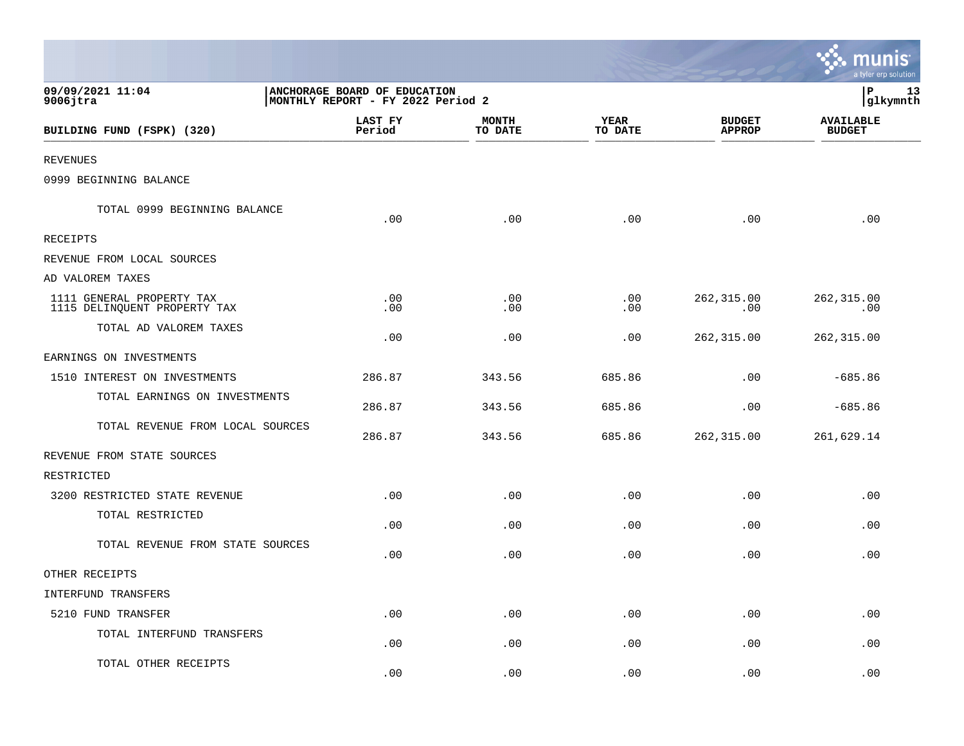|                                                           |                                                                   |                         |                             |                                | munis<br>a tyler erp solution     |
|-----------------------------------------------------------|-------------------------------------------------------------------|-------------------------|-----------------------------|--------------------------------|-----------------------------------|
| 09/09/2021 11:04<br>$9006$ jtra                           | ANCHORAGE BOARD OF EDUCATION<br>MONTHLY REPORT - FY 2022 Period 2 | P<br>13<br>glkymnth     |                             |                                |                                   |
| BUILDING FUND (FSPK) (320)                                | LAST FY<br>Period                                                 | <b>MONTH</b><br>TO DATE | <b>YEAR</b><br>TO DATE      | <b>BUDGET</b><br><b>APPROP</b> | <b>AVAILABLE</b><br><b>BUDGET</b> |
| <b>REVENUES</b>                                           |                                                                   |                         |                             |                                |                                   |
| 0999 BEGINNING BALANCE                                    |                                                                   |                         |                             |                                |                                   |
| TOTAL 0999 BEGINNING BALANCE                              | .00                                                               | .00                     | .00                         | .00                            | .00                               |
| RECEIPTS                                                  |                                                                   |                         |                             |                                |                                   |
| REVENUE FROM LOCAL SOURCES                                |                                                                   |                         |                             |                                |                                   |
| AD VALOREM TAXES                                          |                                                                   |                         |                             |                                |                                   |
| 1111 GENERAL PROPERTY TAX<br>1115 DELINQUENT PROPERTY TAX | $.00 \ \,$<br>.00                                                 | .00<br>.00              | .00<br>.00                  | 262,315.00<br>.00              | 262,315.00<br>.00                 |
| TOTAL AD VALOREM TAXES                                    | .00                                                               | .00                     | .00                         | 262,315.00                     | 262, 315.00                       |
| EARNINGS ON INVESTMENTS                                   |                                                                   |                         |                             |                                |                                   |
| 1510 INTEREST ON INVESTMENTS                              | 286.87                                                            | 343.56                  | 685.86                      | .00                            | $-685.86$                         |
| TOTAL EARNINGS ON INVESTMENTS                             | 286.87                                                            | 343.56                  | 685.86                      | .00                            | $-685.86$                         |
| TOTAL REVENUE FROM LOCAL SOURCES                          | 286.87                                                            | 343.56                  | 685.86                      | 262,315.00                     | 261,629.14                        |
| REVENUE FROM STATE SOURCES                                |                                                                   |                         |                             |                                |                                   |
| RESTRICTED                                                |                                                                   |                         |                             |                                |                                   |
| 3200 RESTRICTED STATE REVENUE                             | .00                                                               | .00                     | .00                         | .00                            | .00                               |
| TOTAL RESTRICTED                                          | .00                                                               | .00                     | .00                         | .00                            | .00                               |
| TOTAL REVENUE FROM STATE SOURCES                          | .00                                                               | .00                     | .00                         | .00                            | .00                               |
| OTHER RECEIPTS                                            |                                                                   |                         |                             |                                |                                   |
| INTERFUND TRANSFERS                                       |                                                                   |                         |                             |                                |                                   |
| 5210 FUND TRANSFER                                        | .00                                                               | .00                     | $\boldsymbol{\mathsf{.00}}$ | .00                            | .00                               |
| TOTAL INTERFUND TRANSFERS                                 | .00                                                               | .00                     | .00                         | .00                            | .00                               |
| TOTAL OTHER RECEIPTS                                      | .00                                                               | .00                     | .00                         | .00                            | .00                               |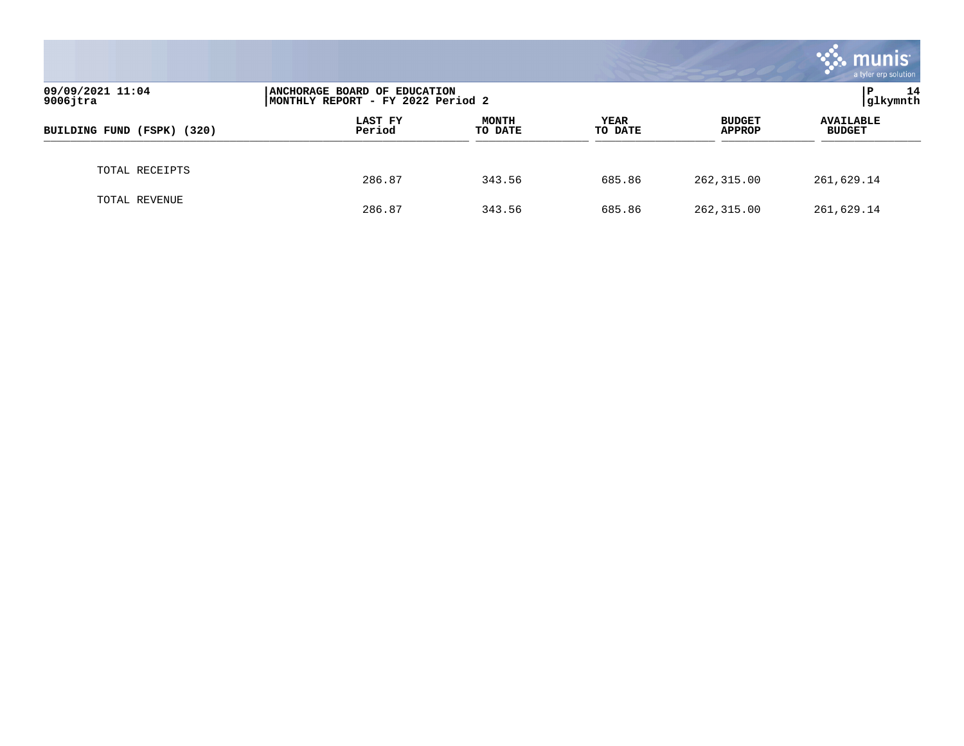|                                 |                                                                   |                         |                        |                                | munis<br>a tyler erp solution     |
|---------------------------------|-------------------------------------------------------------------|-------------------------|------------------------|--------------------------------|-----------------------------------|
| 09/09/2021 11:04<br>$9006$ jtra | ANCHORAGE BOARD OF EDUCATION<br>MONTHLY REPORT - FY 2022 Period 2 | 14<br>Р<br>glkymnth     |                        |                                |                                   |
| BUILDING FUND (FSPK) (320)      | LAST FY<br>Period                                                 | <b>MONTH</b><br>TO DATE | <b>YEAR</b><br>TO DATE | <b>BUDGET</b><br><b>APPROP</b> | <b>AVAILABLE</b><br><b>BUDGET</b> |
| TOTAL RECEIPTS                  | 286.87                                                            | 343.56                  | 685.86                 | 262, 315.00                    | 261,629.14                        |
| TOTAL REVENUE                   | 286.87                                                            | 343.56                  | 685.86                 | 262, 315.00                    | 261,629.14                        |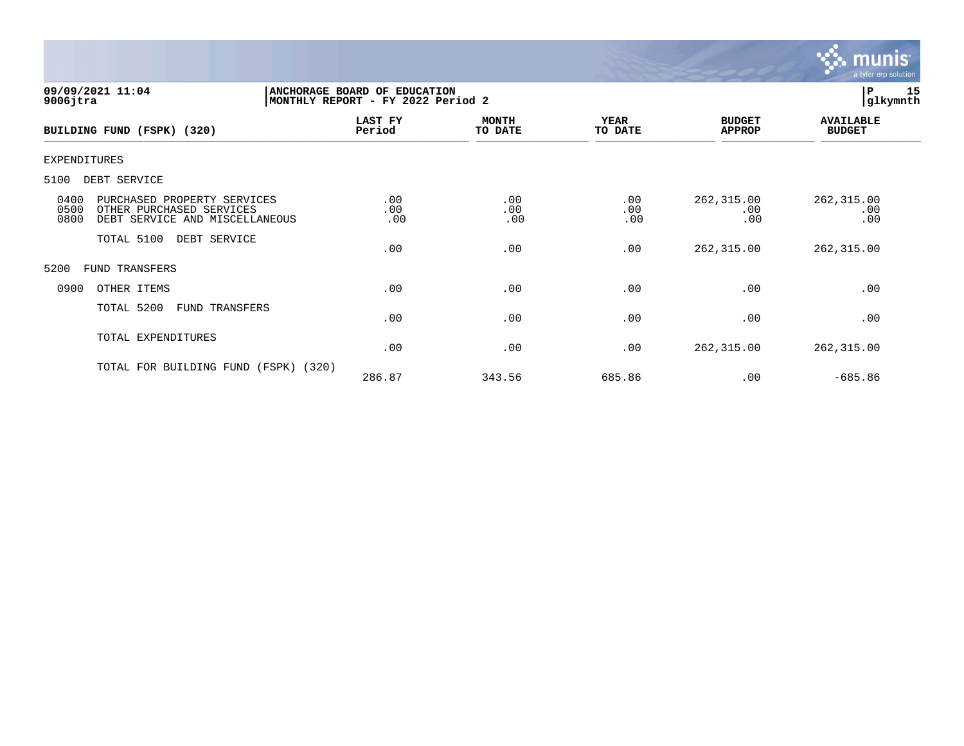

| 09/09/2021 11:04<br>$9006$ jtra                                                                                   | ANCHORAGE BOARD OF<br><b>EDUCATION</b><br>MONTHLY REPORT - FY 2022 Period 2 |                         | 15<br> P<br> glkymnth  |                                |                                   |  |
|-------------------------------------------------------------------------------------------------------------------|-----------------------------------------------------------------------------|-------------------------|------------------------|--------------------------------|-----------------------------------|--|
| BUILDING FUND (FSPK) (320)                                                                                        | LAST FY<br>Period                                                           | <b>MONTH</b><br>TO DATE | <b>YEAR</b><br>TO DATE | <b>BUDGET</b><br><b>APPROP</b> | <b>AVAILABLE</b><br><b>BUDGET</b> |  |
| <b>EXPENDITURES</b>                                                                                               |                                                                             |                         |                        |                                |                                   |  |
| 5100<br>DEBT SERVICE                                                                                              |                                                                             |                         |                        |                                |                                   |  |
| 0400<br>PURCHASED PROPERTY SERVICES<br>0500<br>OTHER PURCHASED SERVICES<br>0800<br>DEBT SERVICE AND MISCELLANEOUS | .00<br>.00<br>.00                                                           | .00<br>.00<br>.00       | .00<br>.00<br>.00      | 262,315.00<br>.00<br>.00       | 262, 315.00<br>.00<br>.00         |  |
| TOTAL 5100<br>DEBT SERVICE                                                                                        | .00                                                                         | .00                     | .00                    | 262,315.00                     | 262, 315.00                       |  |
| 5200<br>FUND TRANSFERS                                                                                            |                                                                             |                         |                        |                                |                                   |  |
| 0900<br>OTHER ITEMS                                                                                               | .00                                                                         | .00                     | .00                    | .00                            | .00                               |  |
| TOTAL 5200<br>FUND TRANSFERS                                                                                      | .00                                                                         | .00                     | .00                    | .00                            | .00                               |  |
| TOTAL EXPENDITURES                                                                                                | .00                                                                         | .00                     | .00                    | 262,315.00                     | 262, 315.00                       |  |
| TOTAL FOR BUILDING FUND<br>(320)<br>(FSPK)                                                                        | 286.87                                                                      | 343.56                  | 685.86                 | .00                            | $-685.86$                         |  |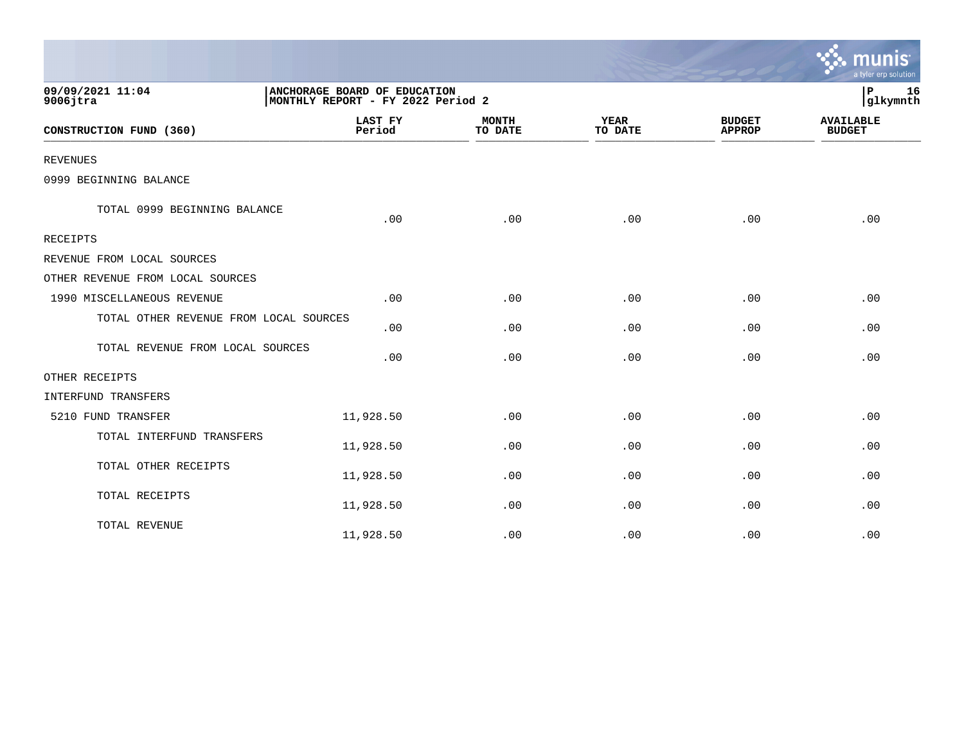|                                        |                          |                                                                   |                        |                                | a tyler erp solution              |  |  |
|----------------------------------------|--------------------------|-------------------------------------------------------------------|------------------------|--------------------------------|-----------------------------------|--|--|
| 09/09/2021 11:04<br>$9006$ jtra        |                          | ANCHORAGE BOARD OF EDUCATION<br>MONTHLY REPORT - FY 2022 Period 2 |                        |                                |                                   |  |  |
| CONSTRUCTION FUND (360)                | <b>LAST FY</b><br>Period | <b>MONTH</b><br>TO DATE                                           | <b>YEAR</b><br>TO DATE | <b>BUDGET</b><br><b>APPROP</b> | <b>AVAILABLE</b><br><b>BUDGET</b> |  |  |
| <b>REVENUES</b>                        |                          |                                                                   |                        |                                |                                   |  |  |
| 0999 BEGINNING BALANCE                 |                          |                                                                   |                        |                                |                                   |  |  |
| TOTAL 0999 BEGINNING BALANCE           | .00                      | .00                                                               | .00                    | .00                            | .00                               |  |  |
| <b>RECEIPTS</b>                        |                          |                                                                   |                        |                                |                                   |  |  |
| REVENUE FROM LOCAL SOURCES             |                          |                                                                   |                        |                                |                                   |  |  |
| OTHER REVENUE FROM LOCAL SOURCES       |                          |                                                                   |                        |                                |                                   |  |  |
| 1990 MISCELLANEOUS REVENUE             | .00                      | .00                                                               | .00                    | .00                            | .00                               |  |  |
| TOTAL OTHER REVENUE FROM LOCAL SOURCES | .00                      | .00                                                               | .00                    | .00                            | .00                               |  |  |
| TOTAL REVENUE FROM LOCAL SOURCES       | .00                      | .00                                                               | .00                    | .00                            | .00                               |  |  |
| OTHER RECEIPTS                         |                          |                                                                   |                        |                                |                                   |  |  |
| INTERFUND TRANSFERS                    |                          |                                                                   |                        |                                |                                   |  |  |
| 5210 FUND TRANSFER                     | 11,928.50                | .00                                                               | .00                    | .00                            | .00                               |  |  |
| TOTAL INTERFUND TRANSFERS              | 11,928.50                | .00                                                               | .00                    | .00                            | .00                               |  |  |
| TOTAL OTHER RECEIPTS                   | 11,928.50                | .00                                                               | .00                    | .00                            | .00                               |  |  |
| TOTAL RECEIPTS                         | 11,928.50                | .00                                                               | .00                    | .00                            | .00                               |  |  |
| TOTAL REVENUE                          | 11,928.50                | .00                                                               | .00                    | .00                            | .00                               |  |  |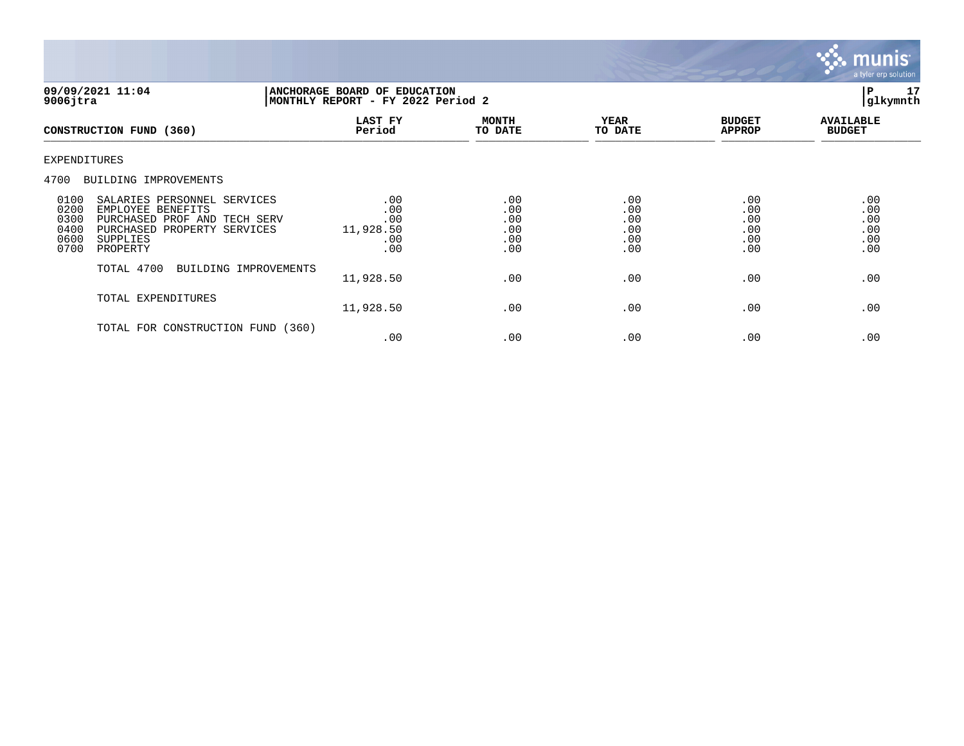

| 09/09/2021 11:04<br>$9006$ jtra                                                                                                                                                                   |                                              | <b>ANCHORAGE BOARD OF EDUCATION</b><br>MONTHLY REPORT - FY 2022 Period 2 |                                        |                                        |                                        |  |
|---------------------------------------------------------------------------------------------------------------------------------------------------------------------------------------------------|----------------------------------------------|--------------------------------------------------------------------------|----------------------------------------|----------------------------------------|----------------------------------------|--|
| CONSTRUCTION FUND (360)                                                                                                                                                                           | LAST FY<br>Period                            | <b>MONTH</b><br>TO DATE                                                  | <b>YEAR</b><br>TO DATE                 | <b>BUDGET</b><br><b>APPROP</b>         | <b>AVAILABLE</b><br><b>BUDGET</b>      |  |
| <b>EXPENDITURES</b>                                                                                                                                                                               |                                              |                                                                          |                                        |                                        |                                        |  |
| 4700<br>BUILDING IMPROVEMENTS                                                                                                                                                                     |                                              |                                                                          |                                        |                                        |                                        |  |
| 0100<br>SALARIES PERSONNEL SERVICES<br>0200<br>EMPLOYEE BENEFITS<br>0300<br>PURCHASED PROF AND TECH SERV<br>0400<br>PURCHASED<br>PROPERTY SERVICES<br>0600<br><b>SUPPLIES</b><br>0700<br>PROPERTY | .00<br>.00<br>.00<br>11,928.50<br>.00<br>.00 | .00<br>.00<br>.00<br>.00<br>.00<br>.00                                   | .00<br>.00<br>.00<br>.00<br>.00<br>.00 | .00<br>.00<br>.00<br>.00<br>.00<br>.00 | .00<br>.00<br>.00<br>.00<br>.00<br>.00 |  |
| TOTAL 4700<br>BUILDING IMPROVEMENTS                                                                                                                                                               | 11,928.50                                    | .00                                                                      | .00                                    | .00                                    | .00                                    |  |
| TOTAL EXPENDITURES                                                                                                                                                                                | 11,928.50                                    | .00                                                                      | .00                                    | .00                                    | .00                                    |  |
| TOTAL FOR CONSTRUCTION FUND                                                                                                                                                                       | (360)<br>.00                                 | .00                                                                      | .00                                    | .00                                    | .00                                    |  |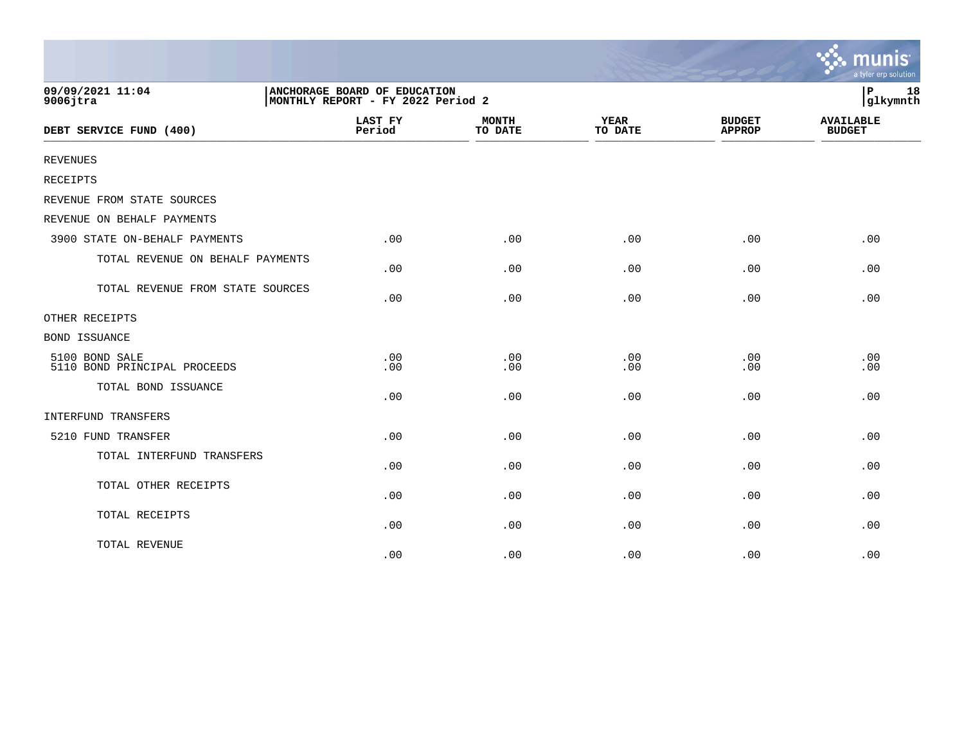|                                                |                                                                   |                         |                        |                                | munis<br>a tyler erp solution     |  |
|------------------------------------------------|-------------------------------------------------------------------|-------------------------|------------------------|--------------------------------|-----------------------------------|--|
| 09/09/2021 11:04<br>$9006$ jtra                | ANCHORAGE BOARD OF EDUCATION<br>MONTHLY REPORT - FY 2022 Period 2 |                         |                        |                                |                                   |  |
| DEBT SERVICE FUND (400)                        | <b>LAST FY</b><br>Period                                          | <b>MONTH</b><br>TO DATE | <b>YEAR</b><br>TO DATE | <b>BUDGET</b><br><b>APPROP</b> | <b>AVAILABLE</b><br><b>BUDGET</b> |  |
| <b>REVENUES</b>                                |                                                                   |                         |                        |                                |                                   |  |
| <b>RECEIPTS</b>                                |                                                                   |                         |                        |                                |                                   |  |
| REVENUE FROM STATE SOURCES                     |                                                                   |                         |                        |                                |                                   |  |
| REVENUE ON BEHALF PAYMENTS                     |                                                                   |                         |                        |                                |                                   |  |
| 3900 STATE ON-BEHALF PAYMENTS                  | .00                                                               | .00                     | .00                    | .00                            | .00                               |  |
| TOTAL REVENUE ON BEHALF PAYMENTS               | .00                                                               | .00                     | .00                    | .00                            | .00                               |  |
| TOTAL REVENUE FROM STATE SOURCES               | .00                                                               | .00                     | .00                    | .00                            | .00                               |  |
| OTHER RECEIPTS                                 |                                                                   |                         |                        |                                |                                   |  |
| <b>BOND ISSUANCE</b>                           |                                                                   |                         |                        |                                |                                   |  |
| 5100 BOND SALE<br>5110 BOND PRINCIPAL PROCEEDS | .00<br>.00                                                        | .00<br>.00              | .00<br>.00             | .00<br>.00                     | .00<br>.00                        |  |
| TOTAL BOND ISSUANCE                            | .00                                                               | .00                     | .00                    | .00                            | .00                               |  |
| INTERFUND TRANSFERS                            |                                                                   |                         |                        |                                |                                   |  |
| 5210 FUND TRANSFER                             | .00                                                               | .00                     | .00                    | .00                            | .00                               |  |
| TOTAL INTERFUND TRANSFERS                      | .00                                                               | .00                     | .00                    | .00                            | .00                               |  |
| TOTAL OTHER RECEIPTS                           | .00                                                               | .00                     | .00                    | .00                            | .00                               |  |
| TOTAL RECEIPTS                                 | .00                                                               | .00                     | .00                    | .00                            | .00                               |  |
| TOTAL REVENUE                                  | .00                                                               | .00                     | .00                    | .00                            | .00                               |  |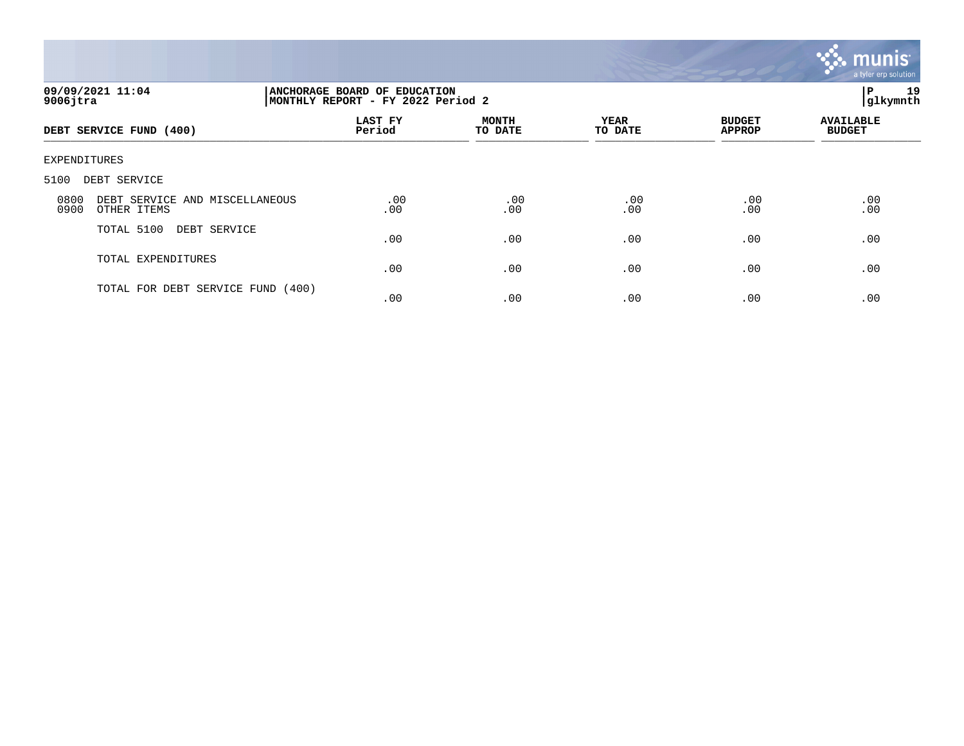

| 09/09/2021 11:04<br>$9006$ jtra                               | 19<br>P<br>ANCHORAGE BOARD OF EDUCATION<br> glkymnth<br>MONTHLY REPORT - FY 2022 Period 2 |                         |                        |                                |                                   |  |
|---------------------------------------------------------------|-------------------------------------------------------------------------------------------|-------------------------|------------------------|--------------------------------|-----------------------------------|--|
| DEBT SERVICE FUND (400)                                       | LAST FY<br>Period                                                                         | <b>MONTH</b><br>TO DATE | <b>YEAR</b><br>TO DATE | <b>BUDGET</b><br><b>APPROP</b> | <b>AVAILABLE</b><br><b>BUDGET</b> |  |
| EXPENDITURES                                                  |                                                                                           |                         |                        |                                |                                   |  |
| 5100<br>DEBT SERVICE                                          |                                                                                           |                         |                        |                                |                                   |  |
| DEBT SERVICE AND MISCELLANEOUS<br>0800<br>0900<br>OTHER ITEMS | .00<br>.00                                                                                | .00<br>.00              | .00<br>.00             | .00<br>.00                     | .00<br>.00                        |  |
| TOTAL 5100<br>DEBT SERVICE                                    | .00                                                                                       | .00                     | .00                    | .00                            | .00                               |  |
| TOTAL EXPENDITURES                                            | .00                                                                                       | .00                     | .00                    | .00                            | .00                               |  |
| TOTAL FOR DEBT SERVICE FUND (400)                             | .00                                                                                       | .00                     | .00                    | .00                            | .00                               |  |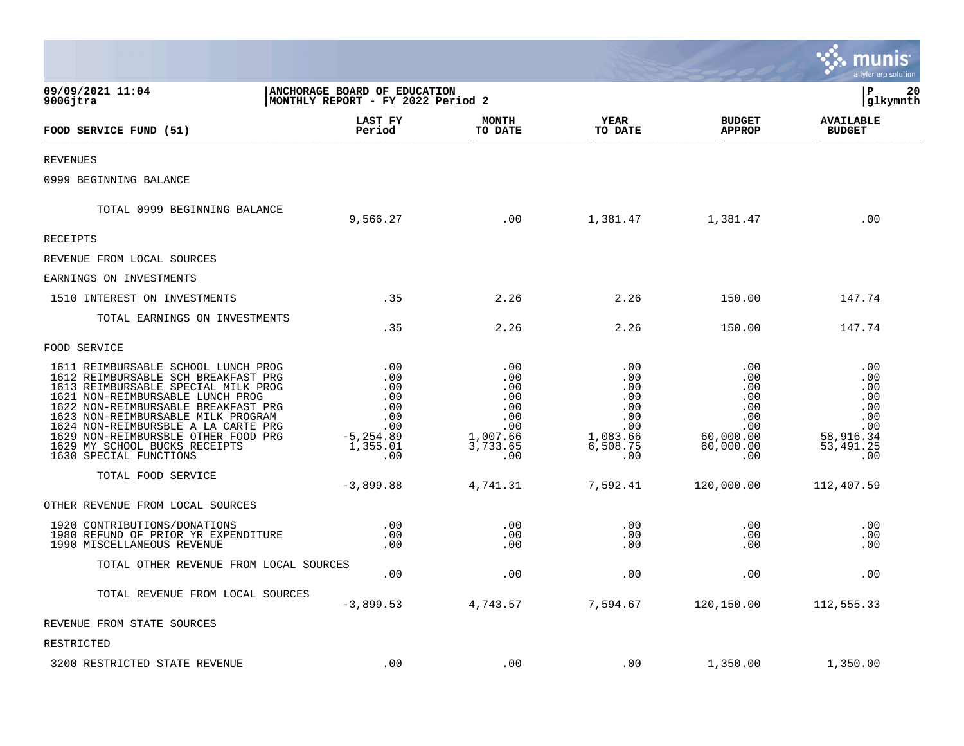|                                                                                                                                                                                                                                                                                                                                                                             |                                                                                  |                                                                              |                                                                              |                                                                                | a tyler erp solution                                                            |
|-----------------------------------------------------------------------------------------------------------------------------------------------------------------------------------------------------------------------------------------------------------------------------------------------------------------------------------------------------------------------------|----------------------------------------------------------------------------------|------------------------------------------------------------------------------|------------------------------------------------------------------------------|--------------------------------------------------------------------------------|---------------------------------------------------------------------------------|
| 09/09/2021 11:04<br>$9006$ jtra                                                                                                                                                                                                                                                                                                                                             | ANCHORAGE BOARD OF EDUCATION<br>MONTHLY REPORT - FY 2022 Period 2                |                                                                              |                                                                              |                                                                                | P<br>20<br>glkymnth                                                             |
| FOOD SERVICE FUND (51)                                                                                                                                                                                                                                                                                                                                                      | <b>LAST FY</b><br>Period                                                         | <b>MONTH</b><br>TO DATE                                                      | <b>YEAR</b><br>TO DATE                                                       | <b>BUDGET</b><br><b>APPROP</b>                                                 | <b>AVAILABLE</b><br><b>BUDGET</b>                                               |
| REVENUES                                                                                                                                                                                                                                                                                                                                                                    |                                                                                  |                                                                              |                                                                              |                                                                                |                                                                                 |
| 0999 BEGINNING BALANCE                                                                                                                                                                                                                                                                                                                                                      |                                                                                  |                                                                              |                                                                              |                                                                                |                                                                                 |
| TOTAL 0999 BEGINNING BALANCE                                                                                                                                                                                                                                                                                                                                                | 9,566.27                                                                         | .00                                                                          | 1,381.47                                                                     | 1,381.47                                                                       | .00                                                                             |
| RECEIPTS                                                                                                                                                                                                                                                                                                                                                                    |                                                                                  |                                                                              |                                                                              |                                                                                |                                                                                 |
| REVENUE FROM LOCAL SOURCES                                                                                                                                                                                                                                                                                                                                                  |                                                                                  |                                                                              |                                                                              |                                                                                |                                                                                 |
| EARNINGS ON INVESTMENTS                                                                                                                                                                                                                                                                                                                                                     |                                                                                  |                                                                              |                                                                              |                                                                                |                                                                                 |
| 1510 INTEREST ON INVESTMENTS                                                                                                                                                                                                                                                                                                                                                | .35                                                                              | 2.26                                                                         | 2.26                                                                         | 150.00                                                                         | 147.74                                                                          |
| TOTAL EARNINGS ON INVESTMENTS                                                                                                                                                                                                                                                                                                                                               | .35                                                                              | 2.26                                                                         | 2.26                                                                         | 150.00                                                                         | 147.74                                                                          |
| FOOD SERVICE                                                                                                                                                                                                                                                                                                                                                                |                                                                                  |                                                                              |                                                                              |                                                                                |                                                                                 |
| 1611 REIMBURSABLE SCHOOL LUNCH PROG<br>1612 REIMBURSABLE SCH BREAKFAST PRG<br>1613 REIMBURSABLE SPECIAL MILK PROG<br>1621 NON-REIMBURSABLE LUNCH PROG<br>1622 NON-REIMBURSABLE BREAKFAST PRG<br>1623 NON-REIMBURSABLE MILK PROGRAM<br>1624 NON-REIMBURSBLE A LA CARTE PRG<br>1629 NON-REIMBURSBLE OTHER FOOD PRG<br>1629 MY SCHOOL BUCKS RECEIPTS<br>1630 SPECIAL FUNCTIONS | .00<br>.00<br>.00<br>.00<br>.00<br>.00<br>.00<br>$-5, 254.89$<br>1,355.01<br>.00 | .00<br>.00<br>.00<br>.00<br>.00<br>.00<br>.00<br>1,007.66<br>3,733.65<br>.00 | .00<br>.00<br>.00<br>.00<br>.00<br>.00<br>.00<br>1,083.66<br>6,508.75<br>.00 | .00<br>.00<br>.00<br>.00<br>.00<br>.00<br>.00<br>60,000.00<br>60,000.00<br>.00 | .00<br>.00<br>.00<br>.00<br>.00<br>.00<br>.00<br>58,916.34<br>53, 491.25<br>.00 |
| TOTAL FOOD SERVICE                                                                                                                                                                                                                                                                                                                                                          | $-3,899.88$                                                                      | 4,741.31                                                                     | 7,592.41                                                                     | 120,000.00                                                                     | 112,407.59                                                                      |
| OTHER REVENUE FROM LOCAL SOURCES                                                                                                                                                                                                                                                                                                                                            |                                                                                  |                                                                              |                                                                              |                                                                                |                                                                                 |
| 1920 CONTRIBUTIONS/DONATIONS<br>1980 REFUND OF PRIOR YR EXPENDITURE<br>1990 MISCELLANEOUS REVENUE                                                                                                                                                                                                                                                                           | .00<br>.00<br>.00                                                                | .00<br>.00<br>.00                                                            | .00<br>.00<br>.00                                                            | .00<br>.00<br>.00                                                              | .00<br>.00<br>.00                                                               |
| TOTAL OTHER REVENUE FROM LOCAL SOURCES                                                                                                                                                                                                                                                                                                                                      | .00                                                                              | .00                                                                          | .00                                                                          | .00                                                                            | .00                                                                             |
| TOTAL REVENUE FROM LOCAL SOURCES                                                                                                                                                                                                                                                                                                                                            | $-3,899.53$                                                                      | 4,743.57                                                                     | 7,594.67                                                                     | 120,150.00                                                                     | 112,555.33                                                                      |
| REVENUE FROM STATE SOURCES                                                                                                                                                                                                                                                                                                                                                  |                                                                                  |                                                                              |                                                                              |                                                                                |                                                                                 |
| RESTRICTED                                                                                                                                                                                                                                                                                                                                                                  |                                                                                  |                                                                              |                                                                              |                                                                                |                                                                                 |
| 3200 RESTRICTED STATE REVENUE                                                                                                                                                                                                                                                                                                                                               | .00                                                                              | .00                                                                          | .00                                                                          | 1,350.00                                                                       | 1,350.00                                                                        |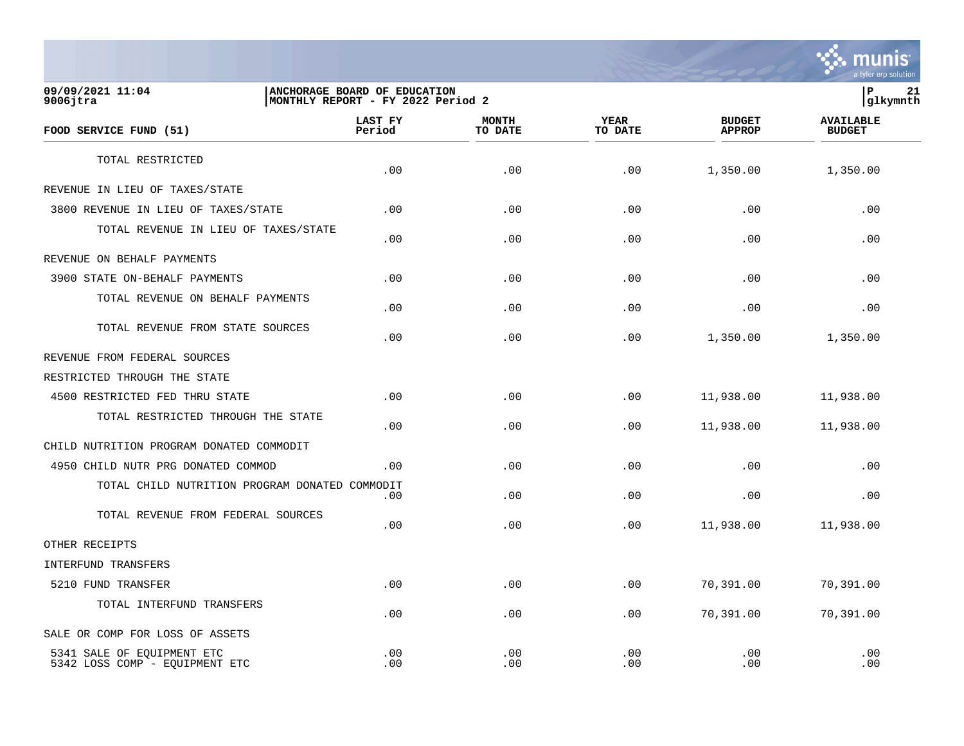

**09/09/2021 11:04 |ANCHORAGE BOARD OF EDUCATION |P 21** MONTHLY REPORT - FY 2022 Period 2  **LAST FY MONTH YEAR BUDGET AVAILABLE FOOD SERVICE FUND (51) Period TO DATE TO DATE APPROP BUDGET**   $\frac{10 \text{ BFR}}{10 \text{ BFR}}$ TOTAL RESTRICTED  $.00$   $.00$   $.00$   $.00$   $.00$   $.00$   $.00$   $.00$   $.00$   $.00$ REVENUE IN LIEU OF TAXES/STATE 3800 REVENUE IN LIEU OF TAXES/STATE .00 .00 .00 .00 .00 TOTAL REVENUE IN LIEU OF TAXES/STATE .00 .00 .00 .00 .00 REVENUE ON BEHALF PAYMENTS 3900 STATE ON-BEHALF PAYMENTS .00 .00 .00 .00 .00 TOTAL REVENUE ON BEHALF PAYMENTS  $.00$  .  $.00$  .  $.00$  .  $.00$  .  $.00$  .  $.00$  .  $.00$  .  $.00$  .  $.00$  .  $.00$  .  $.00$  .  $.00$  .  $.00$  .  $.00$  .  $.00$  .  $.00$  .  $.00$  .  $.00$  .  $.00$  .  $.00$  .  $.00$  .  $.00$  .  $.00$  .  $.00$  .  $.00$  .  $.00$  .  $.00$  .  $.00$ TOTAL REVENUE FROM STATE SOURCES  $.00$   $.00$   $.00$   $.00$   $.00$   $.00$   $.00$   $.00$   $.00$   $.00$ REVENUE FROM FEDERAL SOURCES RESTRICTED THROUGH THE STATE 4500 RESTRICTED FED THRU STATE .00 .00 .00 11,938.00 11,938.00 TOTAL RESTRICTED THROUGH THE STATE  $.00$   $.00$   $.00$   $.01$ ,938.00  $.00$   $.00$   $.00$   $.00$   $.00$   $.00$   $.00$   $.00$   $.00$   $.00$   $.00$   $.00$   $.00$   $.00$   $.00$   $.00$   $.00$   $.00$   $.00$   $.00$   $.00$   $.00$   $.00$   $.00$   $.00$   $.00$   $.00$   $.00$   $.00$   $.00$   $.00$   $.00$ CHILD NUTRITION PROGRAM DONATED COMMODIT 4950 CHILD NUTR PRG DONATED COMMOD .00 .00 .00 .00 .00 TOTAL CHILD NUTRITION PROGRAM DONATED COMMODIT  $.00$  .  $.00$  .  $.00$  .  $.00$  .  $.00$  .  $.00$  .  $.00$  .  $.00$  .  $.00$  .  $.00$  .  $.00$  .  $.00$  .  $.00$  .  $.00$  .  $.00$  .  $.00$  .  $.00$  .  $.00$  .  $.00$  .  $.00$  .  $.00$  .  $.00$  .  $.00$  .  $.00$  .  $.00$  .  $.00$  .  $.00$  .  $.00$ TOTAL REVENUE FROM FEDERAL SOURCES  $.00$   $.00$   $.00$   $.01$ ,938.00  $.00$   $.00$   $.00$   $.00$   $.00$   $.00$   $.00$   $.00$   $.00$   $.00$   $.00$   $.00$   $.00$   $.00$   $.00$   $.00$   $.00$   $.00$   $.00$   $.00$   $.00$   $.00$   $.00$   $.00$   $.00$   $.00$   $.00$   $.00$   $.00$   $.00$   $.00$   $.00$ OTHER RECEIPTS INTERFUND TRANSFERS 5210 FUND TRANSFER .00 .00 .00 70,391.00 70,391.00 TOTAL INTERFUND TRANSFERS .00 .00 .00 70,391.00 70,391.00 SALE OR COMP FOR LOSS OF ASSETS 5341 SALE OF EQUIPMENT ETC .00 .00 .00 .00 .00 5342 LOSS COMP - EQUIPMENT ETC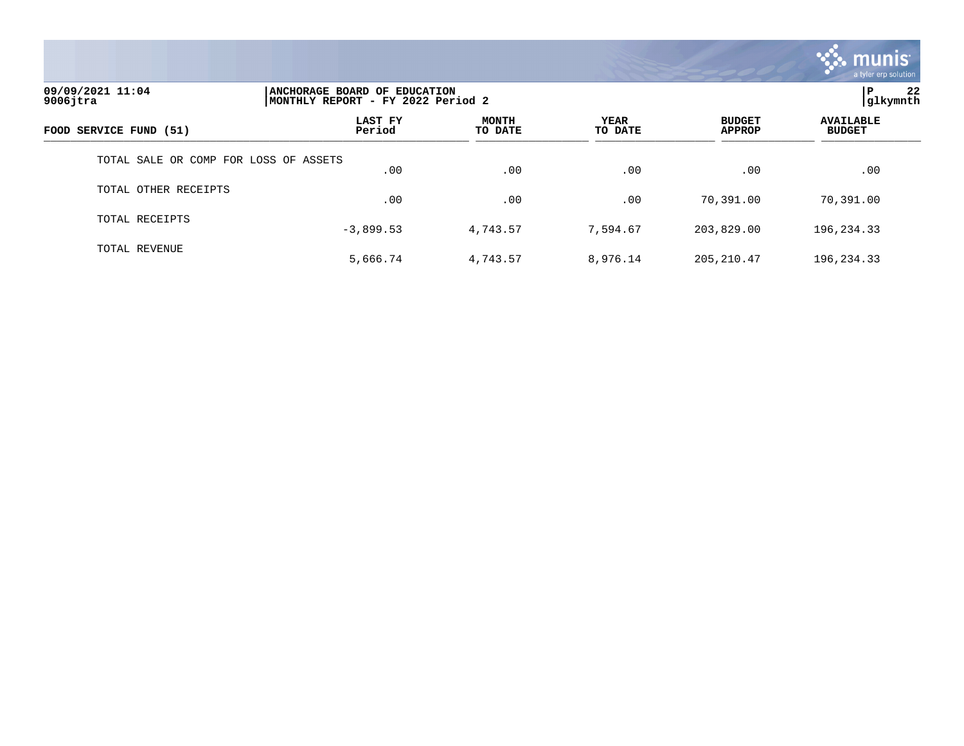

| 09/09/2021 11:04<br>$9006$ jtra       |                   | 22<br>l P<br>ANCHORAGE BOARD OF EDUCATION<br> glkymnth<br>MONTHLY REPORT - FY 2022 Period 2 |                 |                                |                                   |  |  |
|---------------------------------------|-------------------|---------------------------------------------------------------------------------------------|-----------------|--------------------------------|-----------------------------------|--|--|
| FOOD SERVICE FUND (51)                | LAST FY<br>Period | <b>MONTH</b><br>TO DATE                                                                     | YEAR<br>TO DATE | <b>BUDGET</b><br><b>APPROP</b> | <b>AVAILABLE</b><br><b>BUDGET</b> |  |  |
| TOTAL SALE OR COMP FOR LOSS OF ASSETS | .00               | .00                                                                                         | .00             | .00                            | .00                               |  |  |
| TOTAL OTHER RECEIPTS                  | .00               | .00                                                                                         | .00             | 70,391.00                      | 70,391.00                         |  |  |
| TOTAL RECEIPTS                        | $-3,899.53$       | 4,743.57                                                                                    | 7,594.67        | 203,829.00                     | 196,234.33                        |  |  |
| TOTAL REVENUE                         | 5,666.74          | 4,743.57                                                                                    | 8,976.14        | 205, 210.47                    | 196,234.33                        |  |  |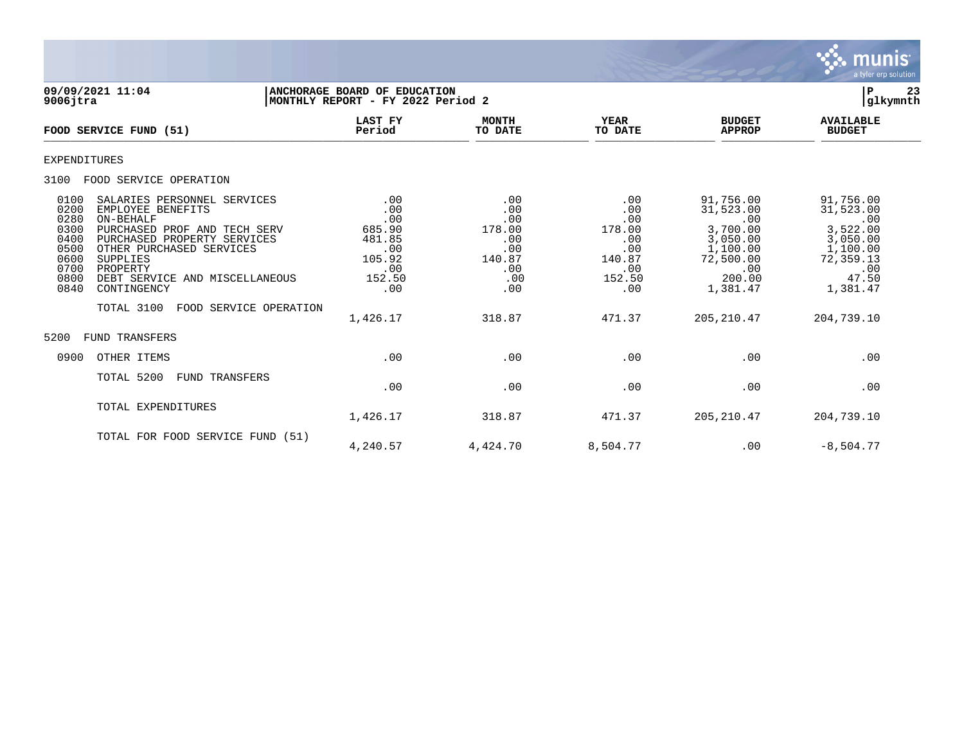

**09/09/2021 11:04 |ANCHORAGE BOARD OF EDUCATION |P 23 MONTHLY REPORT - FY 2022 Period 2 LAST FY MONTH YEAR BUDGET AVAILABLE FOOD SERVICE FUND (51) Period TO DATE TO DATE APPROP BUDGET**   $\frac{10 \text{ BFR}}{10 \text{ BFR}}$ EXPENDITURES 3100 FOOD SERVICE OPERATION 0100 SALARIES PERSONNEL SERVICES .00 .00 .00 .00 .00 .00 .00 91,756.00 91,756.00 91,756.00<br>0200 EMPLOYEE BENEFITS .00 .00 .00 .00 .00 .00 .00 .00 31,523.00 31,523.00 0200 EMPLOYEE BENEFITS .00 .00 .00 31,523.00 31,523.00 0280 ON-BEHALF .00 .00 .00 .00 .00 0300 PURCHASED PROF AND TECH SERV 685.90  $\begin{array}{cccc} 685.90 & & 178.00 & & 178.00 & & 3,700.00 & & 3,522.00 \\ 0400 & & \text{PURCHASED PROPERTIES} & & 481.85 & & 0 & & 0 & 3,050.00 \\ 0500 & & \text{OTHER PURCHASED SERVICES} & & & 0 & & 0 & 0 & 1,100.00 \\ \end{array}$  0400 PURCHASED PROPERTY SERVICES 481.85 .00 .00 3,050.00 3,050.00 0500 OTHER PURCHASED SERVICES .00 .00 .00 1,100.00 1,100.00 0600 SUPPLIES 105.92 140.87 140.87 72,500.00 72,359.13 0700 PROPERTY .00 .00 .00 .00 .00 0800 DEBT SERVICE AND MISCELLANEOUS 152.50 .00 152.50 200.00 47.50 0840 CONTINGENCY TOTAL 3100 FOOD SERVICE OPERATION 1,426.17 318.87 471.37 205,210.47 204,739.10 5200 FUND TRANSFERS 0900 OTHER ITEMS .00 .00 .00 .00 .00 TOTAL 5200 FUND TRANSFERS .00 .00 .00 .00 .00 TOTAL EXPENDITURES 1,426.17 318.87 471.37 205,210.47 204,739.10 TOTAL FOR FOOD SERVICE FUND (51) 4,240.57 4,424.70 8,504.77 .00 -8,504.77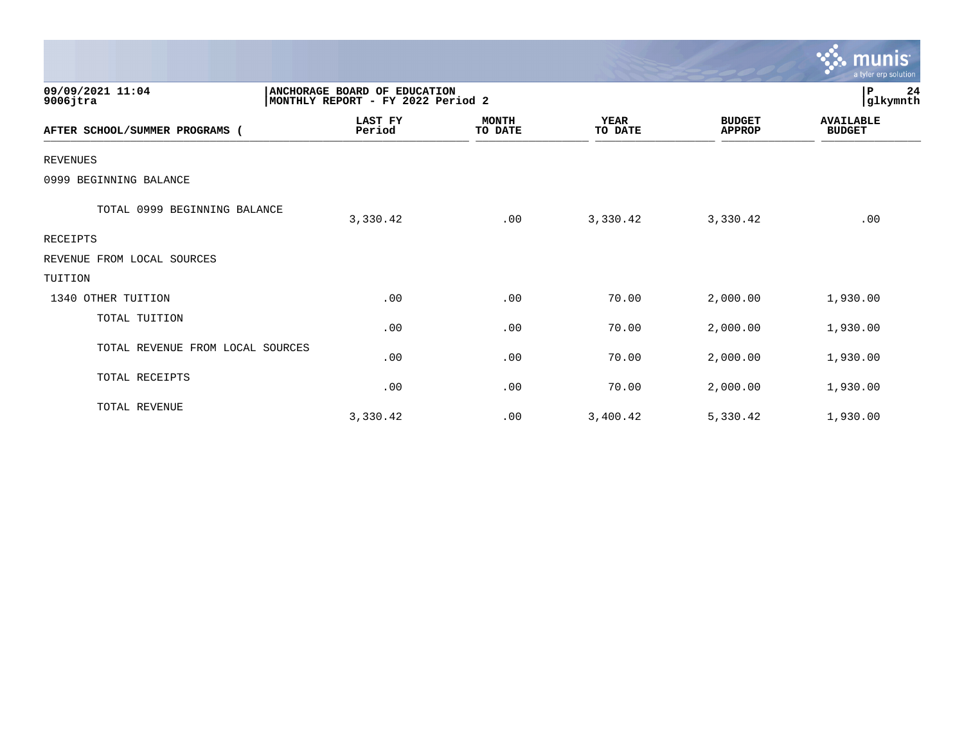|                                  |                                                                   |                         |                        |                                | munis<br>a tyler erp solution     |
|----------------------------------|-------------------------------------------------------------------|-------------------------|------------------------|--------------------------------|-----------------------------------|
| 09/09/2021 11:04<br>$9006$ jtra  | ANCHORAGE BOARD OF EDUCATION<br>MONTHLY REPORT - FY 2022 Period 2 |                         |                        |                                | 24<br>P<br>glkymnth               |
| AFTER SCHOOL/SUMMER PROGRAMS     | <b>LAST FY</b><br>Period                                          | <b>MONTH</b><br>TO DATE | <b>YEAR</b><br>TO DATE | <b>BUDGET</b><br><b>APPROP</b> | <b>AVAILABLE</b><br><b>BUDGET</b> |
| <b>REVENUES</b>                  |                                                                   |                         |                        |                                |                                   |
| 0999 BEGINNING BALANCE           |                                                                   |                         |                        |                                |                                   |
| TOTAL 0999 BEGINNING BALANCE     | 3,330.42                                                          | .00                     | 3,330.42               | 3,330.42                       | .00                               |
| <b>RECEIPTS</b>                  |                                                                   |                         |                        |                                |                                   |
| REVENUE FROM LOCAL SOURCES       |                                                                   |                         |                        |                                |                                   |
| TUITION                          |                                                                   |                         |                        |                                |                                   |
| 1340 OTHER TUITION               | .00                                                               | .00                     | 70.00                  | 2,000.00                       | 1,930.00                          |
| TOTAL TUITION                    | .00                                                               | .00                     | 70.00                  | 2,000.00                       | 1,930.00                          |
| TOTAL REVENUE FROM LOCAL SOURCES | .00                                                               | .00                     | 70.00                  | 2,000.00                       | 1,930.00                          |
| TOTAL RECEIPTS                   | .00                                                               | .00                     | 70.00                  | 2,000.00                       | 1,930.00                          |
| TOTAL REVENUE                    | 3,330.42                                                          | .00                     | 3,400.42               | 5,330.42                       | 1,930.00                          |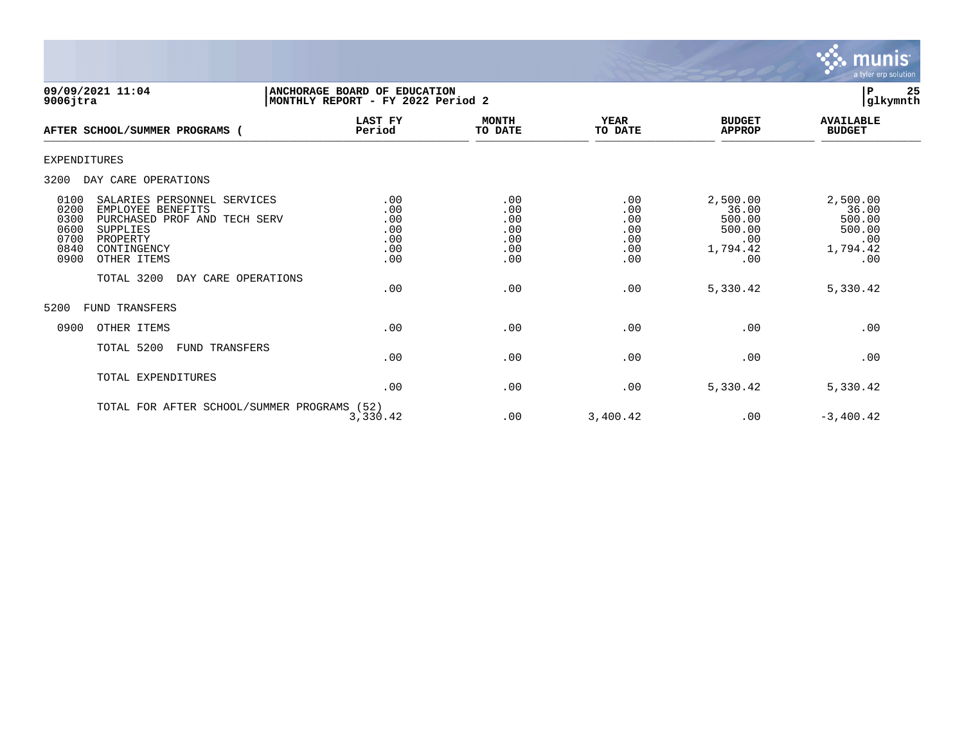

| 09/09/2021 11:04<br>$9006$ jtra                                                                                                                                                                                                     | ANCHORAGE BOARD OF EDUCATION<br>MONTHLY REPORT - FY 2022 Period 2 |                                                      |                                                      |                                                                             | 25<br>ΙP<br>glkymnth                                                        |
|-------------------------------------------------------------------------------------------------------------------------------------------------------------------------------------------------------------------------------------|-------------------------------------------------------------------|------------------------------------------------------|------------------------------------------------------|-----------------------------------------------------------------------------|-----------------------------------------------------------------------------|
| AFTER SCHOOL/SUMMER PROGRAMS (                                                                                                                                                                                                      | <b>LAST FY</b><br>Period                                          | <b>MONTH</b><br>TO DATE                              | <b>YEAR</b><br>TO DATE                               | <b>BUDGET</b><br><b>APPROP</b>                                              | <b>AVAILABLE</b><br><b>BUDGET</b>                                           |
| <b>EXPENDITURES</b>                                                                                                                                                                                                                 |                                                                   |                                                      |                                                      |                                                                             |                                                                             |
| 3200<br>DAY CARE OPERATIONS                                                                                                                                                                                                         |                                                                   |                                                      |                                                      |                                                                             |                                                                             |
| 0100<br>SALARIES PERSONNEL SERVICES<br>0200<br>EMPLOYEE BENEFITS<br>0300<br>PURCHASED PROF AND TECH SERV<br>0600<br>SUPPLIES<br>0700<br>PROPERTY<br>0840<br>CONTINGENCY<br>0900<br>OTHER ITEMS<br>TOTAL 3200<br>DAY CARE OPERATIONS | .00<br>.00<br>.00<br>.00<br>.00<br>.00<br>.00<br>.00              | .00<br>.00<br>.00<br>.00<br>.00<br>.00<br>.00<br>.00 | .00<br>.00<br>.00<br>.00<br>.00<br>.00<br>.00<br>.00 | 2,500.00<br>36.00<br>500.00<br>500.00<br>.00<br>1,794.42<br>.00<br>5,330.42 | 2,500.00<br>36.00<br>500.00<br>500.00<br>.00<br>1,794.42<br>.00<br>5,330.42 |
| 5200<br><b>FUND TRANSFERS</b>                                                                                                                                                                                                       |                                                                   |                                                      |                                                      |                                                                             |                                                                             |
| 0900<br>OTHER ITEMS                                                                                                                                                                                                                 | .00                                                               | .00                                                  | .00                                                  | .00                                                                         | .00                                                                         |
| TOTAL 5200<br>FUND TRANSFERS                                                                                                                                                                                                        | .00                                                               | .00                                                  | .00                                                  | .00                                                                         | .00                                                                         |
| TOTAL EXPENDITURES                                                                                                                                                                                                                  | .00                                                               | .00                                                  | .00                                                  | 5,330.42                                                                    | 5,330.42                                                                    |
| TOTAL FOR AFTER SCHOOL/SUMMER PROGRAMS (52)                                                                                                                                                                                         | 3,330.42                                                          | .00                                                  | 3,400.42                                             | .00                                                                         | $-3,400.42$                                                                 |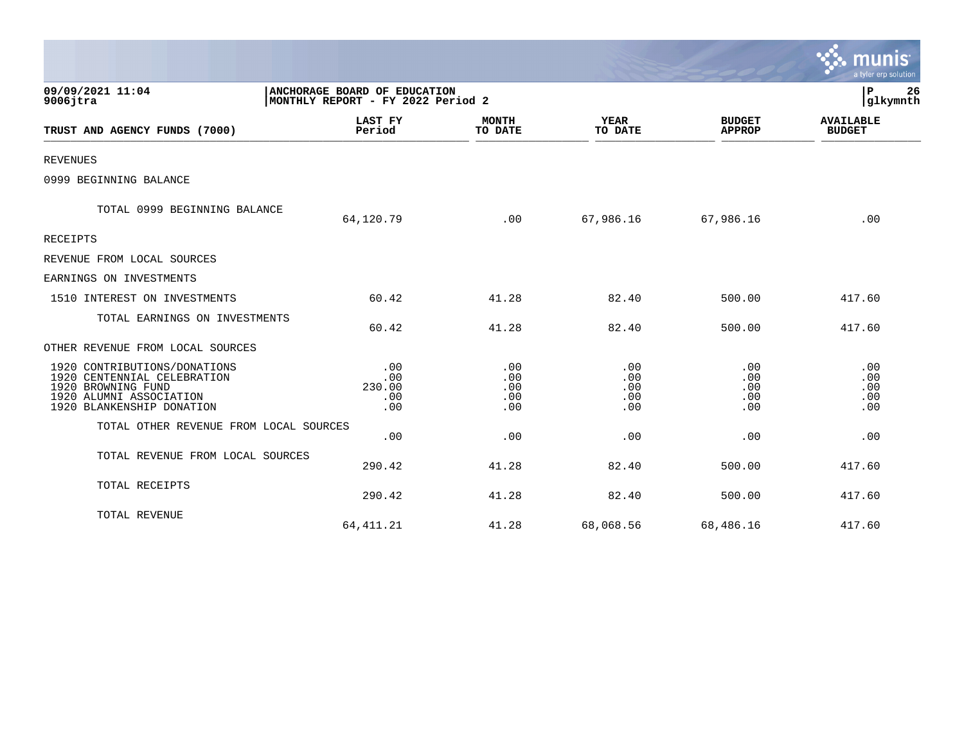|                                                                                                                                           |                                                                   |                                 |                                 |                                 | a tyler erp solution              |
|-------------------------------------------------------------------------------------------------------------------------------------------|-------------------------------------------------------------------|---------------------------------|---------------------------------|---------------------------------|-----------------------------------|
| 09/09/2021 11:04<br>$9006$ jtra                                                                                                           | ANCHORAGE BOARD OF EDUCATION<br>MONTHLY REPORT - FY 2022 Period 2 |                                 |                                 |                                 | P<br>26<br>glkymnth               |
| TRUST AND AGENCY FUNDS (7000)                                                                                                             | LAST FY<br>Period                                                 | <b>MONTH</b><br>TO DATE         | <b>YEAR</b><br>TO DATE          | <b>BUDGET</b><br><b>APPROP</b>  | <b>AVAILABLE</b><br><b>BUDGET</b> |
| <b>REVENUES</b>                                                                                                                           |                                                                   |                                 |                                 |                                 |                                   |
| 0999 BEGINNING BALANCE                                                                                                                    |                                                                   |                                 |                                 |                                 |                                   |
| TOTAL 0999 BEGINNING BALANCE                                                                                                              | 64,120.79                                                         | .00                             | 67,986.16                       | 67,986.16                       | .00                               |
| <b>RECEIPTS</b>                                                                                                                           |                                                                   |                                 |                                 |                                 |                                   |
| REVENUE FROM LOCAL SOURCES                                                                                                                |                                                                   |                                 |                                 |                                 |                                   |
| EARNINGS ON INVESTMENTS                                                                                                                   |                                                                   |                                 |                                 |                                 |                                   |
| 1510 INTEREST ON INVESTMENTS                                                                                                              | 60.42                                                             | 41.28                           | 82.40                           | 500.00                          | 417.60                            |
| TOTAL EARNINGS ON INVESTMENTS                                                                                                             | 60.42                                                             | 41.28                           | 82.40                           | 500.00                          | 417.60                            |
| OTHER REVENUE FROM LOCAL SOURCES                                                                                                          |                                                                   |                                 |                                 |                                 |                                   |
| 1920 CONTRIBUTIONS/DONATIONS<br>1920 CENTENNIAL CELEBRATION<br>1920 BROWNING FUND<br>1920 ALUMNI ASSOCIATION<br>1920 BLANKENSHIP DONATION | .00<br>.00<br>230.00<br>.00<br>.00                                | .00<br>.00<br>.00<br>.00<br>.00 | .00<br>.00<br>.00<br>.00<br>.00 | .00<br>.00<br>.00<br>.00<br>.00 | .00<br>.00<br>.00<br>.00<br>.00   |
| TOTAL OTHER REVENUE FROM LOCAL SOURCES                                                                                                    | .00                                                               | .00                             | .00                             | .00                             | .00                               |
| TOTAL REVENUE FROM LOCAL SOURCES                                                                                                          | 290.42                                                            | 41.28                           | 82.40                           | 500.00                          | 417.60                            |
| TOTAL RECEIPTS                                                                                                                            | 290.42                                                            | 41.28                           | 82.40                           | 500.00                          | 417.60                            |
| TOTAL REVENUE                                                                                                                             | 64, 411.21                                                        | 41.28                           | 68,068.56                       | 68,486.16                       | 417.60                            |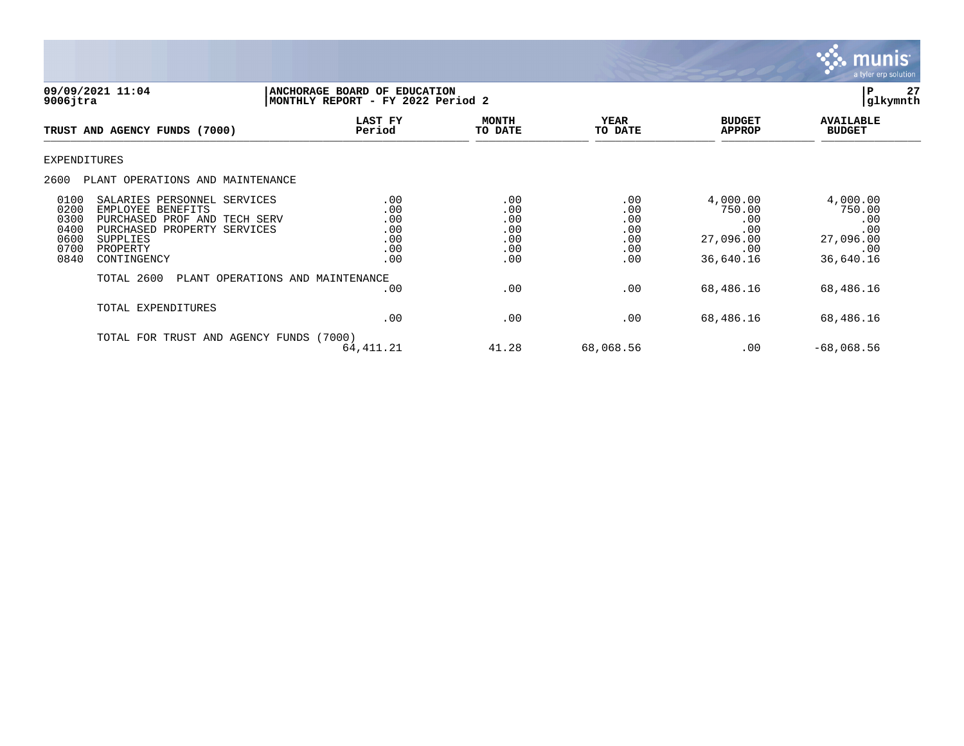

| 09/09/2021 11:04<br>$9006$ jtra                                                                                                                                                                                | P<br><b>ANCHORAGE BOARD OF EDUCATION</b><br>glkymnth<br>MONTHLY REPORT - FY 2022 Period 2 |                                               |                                               |                                                                   |                                                                   |
|----------------------------------------------------------------------------------------------------------------------------------------------------------------------------------------------------------------|-------------------------------------------------------------------------------------------|-----------------------------------------------|-----------------------------------------------|-------------------------------------------------------------------|-------------------------------------------------------------------|
| TRUST AND AGENCY FUNDS (7000)                                                                                                                                                                                  | LAST FY<br>Period                                                                         | <b>MONTH</b><br>TO DATE                       | <b>YEAR</b><br>TO DATE                        | <b>BUDGET</b><br><b>APPROP</b>                                    | <b>AVAILABLE</b><br><b>BUDGET</b>                                 |
| <b>EXPENDITURES</b>                                                                                                                                                                                            |                                                                                           |                                               |                                               |                                                                   |                                                                   |
| 2600<br>PLANT OPERATIONS AND MAINTENANCE                                                                                                                                                                       |                                                                                           |                                               |                                               |                                                                   |                                                                   |
| 0100<br>SALARIES PERSONNEL SERVICES<br>0200<br>EMPLOYEE BENEFITS<br>0300<br>PURCHASED PROF AND TECH SERV<br>0400<br>PURCHASED PROPERTY SERVICES<br>0600<br>SUPPLIES<br>0700<br>PROPERTY<br>0840<br>CONTINGENCY | .00<br>.00<br>.00<br>.00<br>.00<br>.00<br>.00                                             | .00<br>.00<br>.00<br>.00<br>.00<br>.00<br>.00 | .00<br>.00<br>.00<br>.00<br>.00<br>.00<br>.00 | 4,000.00<br>750.00<br>.00<br>.00<br>27,096.00<br>.00<br>36,640.16 | 4,000.00<br>750.00<br>.00<br>.00<br>27,096.00<br>.00<br>36,640.16 |
| TOTAL 2600                                                                                                                                                                                                     | PLANT OPERATIONS AND MAINTENANCE<br>$.00 \,$                                              | .00                                           | .00                                           | 68,486.16                                                         | 68,486.16                                                         |
| TOTAL EXPENDITURES                                                                                                                                                                                             | .00                                                                                       | .00                                           | .00                                           | 68,486.16                                                         | 68,486.16                                                         |
| TRUST AND AGENCY FUNDS (7000)<br>TOTAL FOR                                                                                                                                                                     | 64, 411.21                                                                                | 41.28                                         | 68,068.56                                     | .00                                                               | $-68,068.56$                                                      |